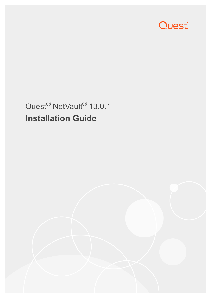

# Quest<sup>®</sup> NetVault<sup>®</sup> 13.0.1 **Installation Guide**

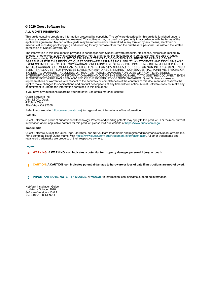#### **© 2020 Quest Software Inc.**

#### **ALL RIGHTS RESERVED.**

This guide contains proprietary information protected by copyright. The software described in this guide is furnished under a software license or nondisclosure agreement. This software may be used or copied only in accordance with the terms of the applicable agreement. No part of this guide may be reproduced or transmitted in any form or by any means, electronic or mechanical, including photocopying and recording for any purpose other than the purchaser's personal use without the written permission of Quest Software Inc.

The information in this document is provided in connection with Quest Software products. No license, express or implied, by estoppel or otherwise, to any intellectual property right is granted by this document or in connection with the sale of Quest<br>Software products. EXCEPT AS SET FORTH IN THE TERMS AND CONDITIONS AS SPECIFIED IN THE LICENSE<br>A EXPRESS, IMPLIED OR STATUTORY WARRANTY RELATING TO ITS PRODUCTS INCLUDING, BUT NOT LIMITED TO, THE IMPLIED WARRANTY OF MERCHANTABILITY, FITNESS FOR A PARTICULAR PURPOSE, OR NON-INFRINGEMENT. IN NO EVENT SHALL QUEST SOFTWARE BE LIABLE FOR ANY DIRECT, INDIRECT, CONSEQUENTIAL, PUNITIVE, SPECIAL OR INCIDENTAL DAMAGES (INCLUDING, WITHOUT LIMITATION, DAMAGES FOR LOSS OF PROFITS, BUSINESS<br>INTERRUPTION OR LOSS OF INFORMATION) ARISING OUT OF THE USE OR INABILITY TO USE THIS DOCUMENT, EVEN IF QUEST SOFTWARE HAS BEEN ADVISED OF THE POSSIBILITY OF SUCH DAMAGES. Quest Software makes no representations or warranties with respect to the accuracy or completeness of the contents of this document and reserves the right to make changes to specifications and product descriptions at any time without notice. Quest Software does not make any commitment to update the information contained in this document.

If you have any questions regarding your potential use of this material, contact:

Quest Software Inc. Attn: LEGAL Dept. 4 Polaris Way Aliso Viejo, CA 92656

Refer to our website [\(https://www.quest.com](https://www.quest.com)) for regional and international office information.

#### **Patents**

Quest Software is proud of our advanced technology. Patents and pending patents may apply to this product. For the most current information about applicable patents for this product, please visit our website at [https://www.quest.com/legal.](https://www.quest.com/legal)

#### **Trademarks**

Quest Software, Quest, the Quest logo, QoreStor, and NetVault are trademarks and registered trademarks of Quest Software Inc. For a complete list of Quest marks, visit [https://www.quest.com/legal/trademark-information.aspx.](https://www.quest.com/legal/trademark-information.aspx) All other trademarks and registered trademarks are property of their respective owners.

#### **Legend**

- **WARNING: A WARNING icon indicates a potential for property damage, personal injury, or death.**
- **CAUTION: A CAUTION icon indicates potential damage to hardware or loss of data if instructions are not followed.** Ţ

**IMPORTANT NOTE**, **NOTE**, **TIP**, **MOBILE**, or **VIDEO:** An information icon indicates supporting information.f.

NetVault Installation Guide Updated - October 2020 Software Version - 13.0.1 NVG-105-13.0.1-EN-01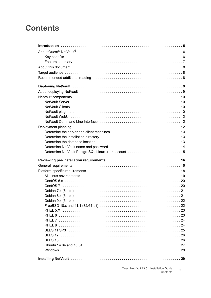## **Contents**

| Determine NetVault PostgreSQL Linux user account  15 |
|------------------------------------------------------|
|                                                      |
|                                                      |
|                                                      |
|                                                      |
|                                                      |
|                                                      |
|                                                      |
|                                                      |
|                                                      |
|                                                      |
|                                                      |
|                                                      |
|                                                      |
|                                                      |
|                                                      |
|                                                      |
|                                                      |
|                                                      |
|                                                      |
|                                                      |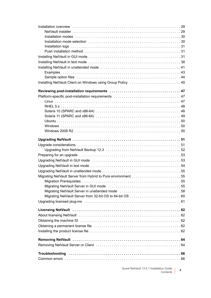| Installing NetVault Client on Windows using Group Policy  45 |  |
|--------------------------------------------------------------|--|
|                                                              |  |
|                                                              |  |
|                                                              |  |
|                                                              |  |
|                                                              |  |
|                                                              |  |
|                                                              |  |
|                                                              |  |
|                                                              |  |
|                                                              |  |
|                                                              |  |
|                                                              |  |
|                                                              |  |
|                                                              |  |
|                                                              |  |
|                                                              |  |
|                                                              |  |
|                                                              |  |
|                                                              |  |
|                                                              |  |
|                                                              |  |
| Migrating NetVault Server in unattended mode 58              |  |
|                                                              |  |
|                                                              |  |
|                                                              |  |
|                                                              |  |
|                                                              |  |
|                                                              |  |
|                                                              |  |
|                                                              |  |
|                                                              |  |
|                                                              |  |
|                                                              |  |
|                                                              |  |
|                                                              |  |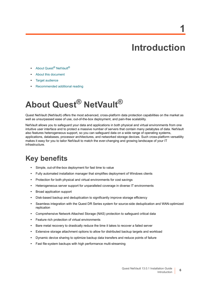# **Introduction**

**1**

- <span id="page-5-0"></span>**•** About Quest[® NetVault®](#page-5-1)
- **•** [About this document](#page-7-0)
- **•** [Target audience](#page-7-1)
- **•** [Recommended additional reading](#page-7-2)

# <span id="page-5-1"></span>**About Quest® NetVault®**

Quest NetVault (NetVault) offers the most advanced, cross-platform data protection capabilities on the market as well as unsurpassed ease of use, out-of-the-box deployment, and pain-free scalability.

NetVault allows you to safeguard your data and applications in both physical and virtual environments from one intuitive user interface and to protect a massive number of servers that contain many petabytes of data. NetVault also features heterogeneous support, so you can safeguard data on a wide range of operating systems, applications, databases, processor architectures, and networked storage devices. Such cross-platform versatility makes it easy for you to tailor NetVault to match the ever-changing and growing landscape of your IT infrastructure.

### <span id="page-5-2"></span>**Key benefits**

- **•** Simple, out-of-the-box deployment for fast time to value
- **•** Fully automated installation manager that simplifies deployment of Windows clients
- **•** Protection for both physical and virtual environments for cost savings
- **•** Heterogeneous server support for unparalleled coverage in diverse IT environments
- **•** Broad application support
- **•** Disk-based backup and deduplication to significantly improve storage efficiency
- **•** Seamless integration with the Quest DR Series system for source-side deduplication and WAN-optimized replication
- **•** Comprehensive Network Attached Storage (NAS) protection to safeguard critical data
- **•** Feature rich protection of virtual environments
- **•** Bare metal recovery to drastically reduce the time it takes to recover a failed server
- **•** Extensive storage attachment options to allow for distributed backup targets and workload
- **•** Dynamic device sharing to optimize backup data transfers and reduce points of failure
- **•** Fast file-system backups with high performance multi-streaming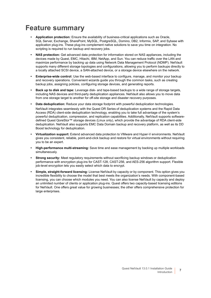## <span id="page-6-0"></span>**Feature summary**

- **Application protection:** Ensure the availability of business-critical applications such as Oracle, SQL Server, Exchange, SharePoint, MySQL, PostgreSQL, Domino, DB2, Informix, SAP, and Sybase with application plug-ins. These plug-ins complement native solutions to save you time on integration. No scripting is required to run backup and recovery jobs.
- **NAS protection:** Get advanced data protection for information stored on NAS appliances, including the devices made by Quest, EMC, Hitachi, IBM, NetApp, and Sun. You can reduce traffic over the LAN and maximize performance by backing up data using Network Data Management Protocol (NDMP). NetVault supports many different storage topologies and configurations, allowing you to perform backups directly to a locally attached SCSI device, a SAN-attached device, or a storage device elsewhere on the network.
- **Enterprise-wide control:** Use the web-based interface to configure, manage, and monitor your backup and recovery operations. Convenient wizards guide you through the common tasks, such as creating backup jobs, assigning policies, configuring storage devices, and generating reports.
- **Back up to disk and tape:** Leverage disk- and tape-based backups to a wide range of storage targets, including NAS devices and third-party deduplication appliances. NetVault also allows you to move data from one storage target to another for off-site storage and disaster recovery purposes.
- **Data deduplication:** Reduce your data storage footprint with powerful deduplication technologies. NetVault integrates seamlessly with the Quest DR Series of deduplication systems and the Rapid Data Access (RDA) client-side deduplication technology, enabling you to take full advantage of the system's powerful deduplication, compression, and replication capabilities. Additionally, NetVault supports softwaredefined Quest QoreStor™ storage devices (Linux only), which provide the advantage of RDA client-side deduplication. NetVault also supports EMC Data Domain backup and recovery platform, as well as its DD Boost technology for deduplication.
- **Virtualization support:** Extend advanced data protection to VMware and Hyper-V environments. NetVault gives you consistent, reliable, point-and-click backup and restore for virtual environments without requiring you to be an expert.
- **High-performance multi-streaming:** Save time and ease management by backing up multiple workloads simultaneously.
- **Strong security:** Meet regulatory requirements without sacrificing backup windows or deduplication performance with encryption plug-ins for CAST-128, CAST-256, and AES-256 algorithm support. Flexible job-level encryption lets you easily select which data to encrypt.
- **Simple, straight-forward licensing:** License NetVault by capacity or by component. This option gives you incredible flexibility to choose the model that best meets the organization's needs. With component-based licensing, you can choose which modules you need. You can also license NetVault by capacity and deploy an unlimited number of clients or application plug-ins. Quest offers two capacity-based licensing editions for NetVault. One offers great value for growing businesses; the other offers comprehensive protection for large enterprises.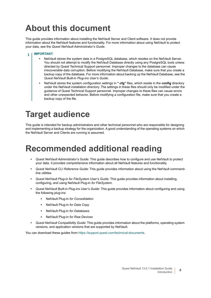# <span id="page-7-0"></span>**About this document**

This guide provides information about installing the NetVault Server and Client software. It does not provide information about the NetVault features and functionality. For more information about using NetVault to protect your data, see the *Quest NetVault Administrator's Guide*.

#### **IMPORTANT:**  ÷

- **•** NetVault stores the system data in a PostgreSQL database, which resides on the NetVault Server. You should not attempt to modify the NetVault Database directly using any PostgreSQL tools unless directed by Quest Technical Support personnel. Improper changes to the database can cause irrecoverable data corruption. Before modifying the NetVault Database, make sure that you create a backup copy of the database. For more information about backing up the NetVault Database, see the *Quest NetVault Built-in Plug-ins User's Guide*.
- **•** NetVault stores the system configuration settings in **".cfg"** files, which reside in the **config** directory under the NetVault installation directory. The settings in these files should only be modified under the guidance of Quest Technical Support personnel. Improper changes to these files can cause errors and other unexpected behavior. Before modifying a configuration file, make sure that you create a backup copy of the file.

## <span id="page-7-1"></span>**Target audience**

This guide is intended for backup administrators and other technical personnel who are responsible for designing and implementing a backup strategy for the organization. A good understanding of the operating systems on which the NetVault Server and Clients are running is assumed.

## <span id="page-7-2"></span>**Recommended additional reading**

- **•** *Quest NetVault Administrator's Guide:* This guide describes how to configure and use NetVault to protect your data. It provides comprehensive information about all NetVault features and functionality.
- **•** *Quest NetVault CLI Reference Guide:* This guide provides information about using the NetVault commandline utilities.
- **•** *Quest NetVault Plug-in for FileSystem User's Guide:* This guide provides information about installing, configuring, and using NetVault Plug-in *for FileSystem*.
- **•** *Quest NetVault Built-in Plug-ins User's Guide:* This guide provides information about configuring and using the following plug-ins:
	- **▪** NetVault Plug-in *for Consolidation*
	- **▪** NetVault Plug-in *for Data Copy*
	- **▪** NetVault Plug-in *for Databases*
	- **▪** NetVault Plug-in *for Raw Devices*
- **•** *Quest NetVault Compatibility Guide:* This guide provides information about the platforms, operating system versions, and application versions that are supported by NetVault.

You can download these guides from <https://support.quest.com/technical-documents>.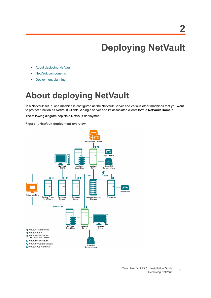# **Deploying NetVault**

- <span id="page-8-0"></span>**•** [About deploying NetVault](#page-8-1)
- **•** [NetVault components](#page-9-0)
- **•** [Deployment planning](#page-11-2)

## <span id="page-8-1"></span>**About deploying NetVault**

In a NetVault setup, one machine is configured as the NetVault Server and various other machines that you want to protect function as NetVault Clients. A single server and its associated clients form a **NetVault Domain**.

The following diagram depicts a NetVault deployment.

**Figure 1. NetVault deployment overview**



**9**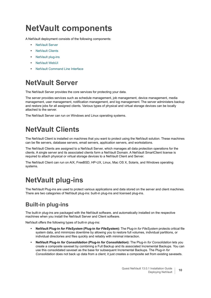# <span id="page-9-0"></span>**NetVault components**

A NetVault deployment consists of the following components:

- **•** [NetVault Server](#page-9-1)
- **•** [NetVault Clients](#page-9-2)
- **•** [NetVault plug-ins](#page-9-3)
- **•** [NetVault WebUI](#page-11-0)
- **•** [NetVault Command Line Interface](#page-11-1)

## <span id="page-9-1"></span>**NetVault Server**

The NetVault Server provides the core services for protecting your data.

The server provides services such as schedule management, job management, device management, media management, user management, notification management, and log management. The server administers backup and restore jobs for all assigned clients. Various types of physical and virtual storage devices can be locally attached to the server.

The NetVault Server can run on Windows and Linux operating systems.

## <span id="page-9-2"></span>**NetVault Clients**

The NetVault Client is installed on machines that you want to protect using the NetVault solution. These machines can be file servers, database servers, email servers, application servers, and workstations.

The NetVault Clients are assigned to a NetVault Server, which manages all data protection operations for the clients. A single server and its associated clients form a NetVault Domain. A NetVault SmartClient license is required to attach physical or virtual storage devices to a NetVault Client and Server.

The NetVault Client can run on AIX, FreeBSD, HP-UX, Linux, Mac OS X, Solaris, and Windows operating systems.

## <span id="page-9-3"></span>**NetVault plug-ins**

The NetVault Plug-ins are used to protect various applications and data stored on the server and client machines. There are two categories of NetVault plug-ins: built-in plug-ins and licensed plug-ins.

### **Built-in plug-ins**

The built-in plug-ins are packaged with the NetVault software, and automatically installed on the respective machines when you install the NetVault Server and Client software.

NetVault offers the following types of built-in plug-ins:

- **NetVault Plug-in** *for FileSystem* **(Plug-in** *for FileSystem***):** The Plug-in *for FileSystem* protects critical file system data, and minimizes downtime by allowing you to restore full volumes, individual partitions, or individual directories and files quickly and reliably with minimal interaction.
- **NetVault Plug-in** *for Consolidation* **(Plug-in** *for Consolidation***):** The Plug-in *for Consolidation* lets you create a composite saveset by combining a Full Backup and its associated Incremental Backups. You can use this consolidated saveset as the base for subsequent Incremental Backups. The Plug-in *for Consolidation* does not back up data from a client; it just creates a composite set from existing savesets.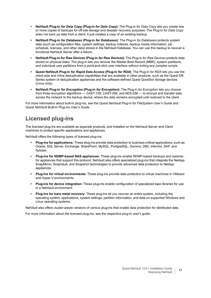- **NetVault Plug-in** *for Data Copy* **(Plug-in** *for Data Copy***):** The Plug-in *for Data Copy* lets you create one or more copies of backups for off-site storage and disaster recovery purposes. The Plug-in *for Data Copy* does not back up data from a client; it just creates a copy of an existing backup.
- **NetVault Plug-in** *for Databases* **(Plug-in** *for Databases***):** The Plug-in *for Databases* protects system data (such as configuration files, system settings, backup indexes, backup media information, job schedule, licenses, and other data) stored in the NetVault Database. You can use this backup to recover a functional NetVault Server after a failure.
- **NetVault Plug-in** *for Raw Devices* **(Plug-in** *for Raw Devices***):** The Plug-in *for Raw Devices* protects data stored on physical disks. The plug-in lets you recover the Master Boot Record (MBR), system partitions, and individual user partitions from a point-and-click user interface without writing any complex scripts.
- **Quest NetVault Plug-in** *for Rapid Data Access* **(Plug-in** *for RDA***):** The Plug-in *for RDA* lets you use the client-side and inline deduplication capabilities that are available in other products, such as the Quest DR Series system of deduplication appliances and the software-defined Quest QoreStor storage devices (Linux only).
- **NetVault Plug-in** *for Encryption* **(Plug-in** *for Encryption***):** The Plug-in for Encryption lets you choose from three encryption algorithms — CAST-128, CAST-256, and AES-256 — to encrypt and transfer data across the network to the backup device, where the data remains encrypted until restored to the client.

For more information about built-in plug-ins, see the *Quest NetVault Plug-in for FileSystem User's Guide* and *Quest NetVault Built-in Plug-ins User's Guide*.

### **Licensed plug-ins**

The licensed plug-ins are available as separate products, and installed on the NetVault Server and Client machines to protect specific applications and appliances.

NetVault offers the following types of licensed plug-ins:

- **Plug-ins for applications:** These plug-ins provide data protection to business-critical applications, such as Oracle, SQL Server, Exchange, SharePoint, MySQL, PostgreSQL, Domino, DB2, Informix, SAP, and Sybase.
- **Plug-ins for NDMP-based NAS appliances:** These plug-ins enable NDMP-based backups and restores for appliances that support this protocol. NetVault also offers specialized plug-ins that integrate the NetApp SnapMirror, SnapVault, and Snapshot technologies to provide advanced data protection to NetApp appliances.
- **Plug-ins for virtual environments:** These plug-ins provide data protection to virtual machines in VMware and Hyper-V environments.
- **Plug-ins for device integration:** These plug-ins enable configuration of specialized tape libraries for use in a NetVault environment.
- **Plug-ins for bare metal recovery:** These plug-ins let you recover an entire system, including the operating system, applications, system settings, partition information, and data on supported Windows and Linux operating systems.

NetVault also offers cluster-aware versions of various plug-ins that enable data protection for distributed data.

For more information about the licensed plug-ins, see the respective plug-in user's guide.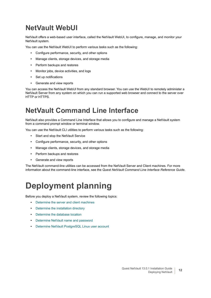## <span id="page-11-0"></span>**NetVault WebUI**

NetVault offers a web-based user interface, called the NetVault WebUI, to configure, manage, and monitor your NetVault system.

You can use the NetVault WebUI to perform various tasks such as the following:

- **•** Configure performance, security, and other options
- **•** Manage clients, storage devices, and storage media
- **•** Perform backups and restores
- **•** Monitor jobs, device activities, and logs
- **•** Set up notifications
- **•** Generate and view reports

You can access the NetVault WebUI from any standard browser. You can use the WebUI to remotely administer a NetVault Server from any system on which you can run a supported web browser and connect to the server over HTTP or HTTPS.

### <span id="page-11-1"></span>**NetVault Command Line Interface**

NetVault also provides a Command Line Interface that allows you to configure and manage a NetVault system from a command prompt window or terminal window.

You can use the NetVault CLI utilities to perform various tasks such as the following:

- **•** Start and stop the NetVault Service
- **•** Configure performance, security, and other options
- **•** Manage clients, storage devices, and storage media
- **•** Perform backups and restores
- **•** Generate and view reports

The NetVault command-line utilities can be accessed from the NetVault Server and Client machines. For more information about the command-line interface, see the *Quest NetVault Command Line Interface Reference Guide*.

# <span id="page-11-2"></span>**Deployment planning**

Before you deploy a NetVault system, review the following topics:

- **•** [Determine the server and client machines](#page-12-0)
- **•** [Determine the installation directory](#page-12-1)
- **•** [Determine the database location](#page-12-2)
- **•** [Determine NetVault name and password](#page-13-0)
- **•** [Determine NetVault PostgreSQL Linux user account](#page-14-0)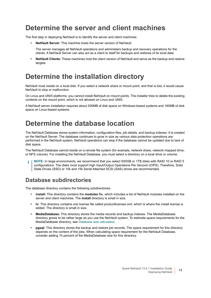### <span id="page-12-0"></span>**Determine the server and client machines**

The first step in deploying NetVault is to identify the server and client machines:

**• NetVault Server:** This machine hosts the server version of NetVault.

The server manages all NetVault operations and administers backup and recovery operations for the clients. A NetVault Server can also act as a client to itself for backups and restores of its local data.

**• NetVault Clients:** These machines host the client version of NetVault and serve as the backup and restore targets.

### <span id="page-12-1"></span>**Determine the installation directory**

NetVault must reside on a local disk. If you select a network share or mount point, and that is lost, it would cause NetVault to stop or malfunction.

On Linux and UNIX platforms, you cannot install NetVault on mount points. The installer tries to delete the existing contents on the mount point, which is not allowed on Linux and UNIX.

A NetVault server installation requires about 200MB of disk space on Windows-based systems and 160MB of disk space on Linux-based systems.

## <span id="page-12-2"></span>**Determine the database location**

The NetVault Database stores system information, configuration files, job details, and backup indexes. It is created on the NetVault Server. The database continues to grow in size as various data protection operations are performed in the NetVault system. NetVault operations can stop if the database cannot be updated due to lack of disk space.

The NetVault Database cannot reside on a remote file system (for example, network share, network mapped drive, or NFS volume). For installing the NetVault Database, you must select a directory on a local drive or volume.

**NOTE:** In large environments, we recommend that you select 500GB or 1TB disks with RAID 10 or RAID 5 configurations. The disks must support high Input/Output Operations Per Second (IOPS). Therefore, Solid State Drives (SSD) or 10k and 15k Serial Attached SCSI (SAS) drives are recommended.

### **Database subdirectories**

The database directory contains the following subdirectories:

- **install:** This directory contains the **modules** file, which includes a list of NetVault modules installed on the server and client machines. The **install** directory is small in size.
- **lv:** This directory contains one license file called productlicenses.xml, which is where the install license is added. The directory is small in size.
- **MediaDatabase:** This directory stores the media records and backup indexes. The MediaDatabase directory grows to be rather large as you use the NetVault system. To estimate space requirements for the MediaDatabase directory, see [Database size calculation.](#page-13-1)
- **pgsql:** This directory stores the backup and restore job records. The space requirement for this directory depends on the content of the jobs. When calculating space requirement for the NetVault Database, consider adding 10 percent of the MediaDatabase size for this directory.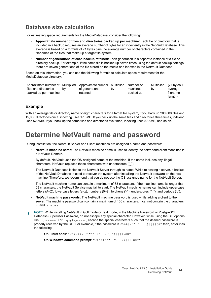### <span id="page-13-1"></span>**Database size calculation**

For estimating space requirements for the MediaDatabase, consider the following:

- **Approximate number of files and directories backed up per machine:** Each file or directory that is included in a backup requires an average number of bytes for an index entry in the NetVault Database. This average is based on a formula of 71 bytes plus the average number of characters contained in the filenames of the files that make up a target file system.
- **Number of generations of each backup retained:** Each generation is a separate instance of a file or directory backup. For example, if the same file is backed up seven times using the default backup settings, there are seven generations of the file stored on the media and indexed in the NetVault Database.

Based on this information, you can use the following formula to calculate space requirement for the MediaDatabase directory:

| Approximate number of Multiplied Approximate number Multiplied Number of |    |                |    |           |    | Multiplied $(71 \text{ bytes} +$ |
|--------------------------------------------------------------------------|----|----------------|----|-----------|----|----------------------------------|
| files and directories                                                    | bv | of generations | bv | machines  | bv | average                          |
| backed up per machine                                                    |    | retained       |    | backed up |    | filename                         |
|                                                                          |    |                |    |           |    | length)                          |

#### **Example**

With an average file or directory name of eight characters for a target file system, if you back up 200,000 files and 15,000 directories once, indexing uses 17.5MB. If you back up the same files and directories three times, indexing uses 52.5MB. If you back up the same files and directories five times, indexing uses 87.5MB, and so on.

### <span id="page-13-2"></span><span id="page-13-0"></span>**Determine NetVault name and password**

During installation, the NetVault Server and Client machines are assigned a name and password:

**• NetVault machine name:** The NetVault machine name is used to identify the server and client machines in a NetVault Domain.

By default, NetVault uses the OS-assigned name of the machine. If the name includes any illegal characters, NetVault replaces those characters with underscores ("\_").

The NetVault Database is tied to the NetVault Server through its name. While relocating a server, a backup of the NetVault Database is used to recover the system after installing the NetVault software on the new machine. Therefore, we recommend that you do not use the OS-assigned name for the NetVault Server.

The NetVault machine name can contain a maximum of 63 characters. If the machine name is longer than 63 characters, the NetVault Service may fail to start. The NetVault machine names can include uppercase letters (A–Z), lowercase letters (a–z), numbers (0–9), hyphens ("-"), underscores ("\_"), and periods (".").

- **NetVault machine passwords:** The NetVault machine password is used while adding a client to the server. The machine password can contain a maximum of 100 characters. It cannot contain the characters: \ and spaces.
- **NOTE:** While installing NetVault in GUI mode or Text mode, in the Machine Password or PostgreSQL ÷ Database Superuser Password, do not escape any special character. However, while using the CLI options like nypassword or nypgdbpasswd, escape the special characters such that the desired password is properly received by the CLI. For example, if the password is  $\langle x \rangle^*$  | /"':\*.-`()[]{}\$@? then, enter it as the following:

**On Linux shell**: \<\>\&#\|/\"\':\\*.-\`\(\)[]{}\\$@?

**On Windows command prompt**: "<>&#|/""':\*.-`()[]{}\$@?".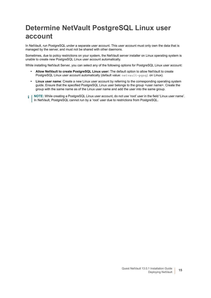## <span id="page-14-1"></span><span id="page-14-0"></span>**Determine NetVault PostgreSQL Linux user account**

In NetVault, run PostgreSQL under a separate user account. This user account must only own the data that is managed by the server, and must not be shared with other daemons.

Sometimes, due to policy restrictions on your system, the NetVault server installer on Linux operating system is unable to create new PostgreSQL Linux user account automatically.

While installing NetVault Server, you can select any of the following options for PostgreSQL Linux user account:

- **Allow NetVault to create PostgreSQL Linux user:** The default option to allow NetVault to create PostgreSQL Linux user account automatically (default value: netvault-pgsql on Linux).
- **Linux user name**: Create a new Linux user account by referring to the corresponding operating system guide. Ensure that the specified PostgreSQL Linux user belongs to the group <user name>. Create the group with the same name as of the Linux user name and add the user into the same group.
- **i** | NOTE: While creating a PostgreSQL Linux user account, do not use 'root' user in the field 'Linux user name'. In NetVault, PostgreSQL cannot run by a 'root' user due to restrictions from PostgreSQL.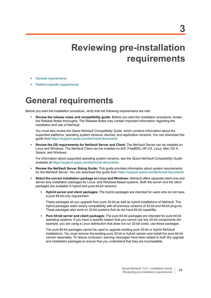# **Reviewing pre-installation requirements**

- <span id="page-15-0"></span>**•** [General requirements](#page-15-1)
- **•** [Platform-specific requirements](#page-17-0)

## <span id="page-15-1"></span>**General requirements**

Before you start the installation procedure, verify that the following requirements are met:

**• Review the release notes and compatibility guide:** Before you start the installation procedure, review the Release Notes thoroughly. The Release Notes may contain important information regarding the installation and use of NetVault.

You must also review the *Quest NetVault Compatibility Guide*, which contains information about the supported platforms, operating system versions, devices, and application versions. You can download this guide from [https://support.quest.com/technical-documents.](https://support.quest.com/technical-documents)

**• Review the OS requirements for NetVault Server and Client:** The NetVault Server can be installed on Linux and Windows. The NetVault Client can be installed on AIX, FreeBSD, HP-UX, Linux, Mac OS X, Solaris, and Windows.

For information about supported operating system versions, see the *Quest NetVault Compatibility Guide* available at [https://support.quest.com/technical-documents.](https://support.quest.com/technical-documents)

- **Review the NetVault Server Sizing Guide:** This guide provides information about system requirements for the NetVault Server. You can download this guide from [https://support.quest.com/technical-documents.](https://support.quest.com/technical-documents)
- **Select the correct installation package on Linux and Windows:** NetVault offers separate client-only and server-only installation packages for Linux- and Windows-based systems. Both the server and the client packages are available in hybrid and pure 64-bit versions:
	- **▪ Hybrid server and client packages:** The hybrid packages are intended for users who do not have a pure 64-bit-only requirement.

These packages let you upgrade from pure 32-bit as well as hybrid installations of NetVault. The hybrid packages retain binary compatibility with all previous versions of 32-bit and 64-bit plug-ins. These packages also work on 32-bit systems that do not have 64-bit capability.

**▪ Pure 64-bit server and client packages:** The pure 64-bit packages are intended for pure 64-bit operating systems. If you have a specific reason that you cannot use any 32-bit components (for example, you are using a Linux distribution that does not run 32-bit code), use these packages.

The pure 64-bit packages cannot be used to upgrade existing pure 32-bit or hybrid NetVault installations. You must remove the existing pure 32-bit or hybrid version and install the pure 64-bit version separately. To reduce confusion, warning messages have been added to both the upgrade and installation packages to ensure that you understand that they are incompatible.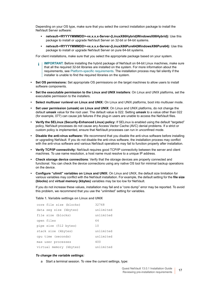Depending on your OS type, make sure that you select the correct installation package to install the NetVault Server software:

- **▪ netvault-<RYYYYMMMDD>-vx.x.x.x-Server-{LinuxX86Hybrid|WindowsX86Hybrid}:** Use this package to install or upgrade NetVault Server on 32-bit or 64-bit systems.
- **▪ netvault-<RYYYYMMMDD>-vx.x.x.x-Server-{LinuxX86Pure64|WindowsX86Pure64}:** Use this package to install or upgrade NetVault Server on pure 64-bit systems.

For client installations, make sure that you select the appropriate package based on your system.

- **IMPORTANT:** Before installing the hybrid package of NetVault on 64-bit Linux machines, make sure î that all the required 32-bit libraries are installed on the system. For more information about the requirements, see [Platform-specific requirements.](#page-17-0) The installation process may fail silently if the installer is unable to find the required libraries on the system.
- **Set OS permissions:** Set appropriate OS permissions on the target machines to allow users to install software components.
- **Set the executable permission to the Linux and UNIX installers**: On Linux and UNIX platforms, set the executable permission to the installers.
- **Select multiuser runlevel on Linux and UNIX:** On Linux and UNIX platforms, boot into multiuser mode.
- **Set user permission (umask) on Linux and UNIX**: On Linux and UNIX platforms, do not change the default **umask** value for the root user. The default value is 022. Setting **umask** to a value other than 022 (for example, 077) can cause job failures if the plug-in users are unable to access the NetVault files.
- **Verify the SELinux (Security-Enhanced Linux) policy:** If SELinux is enabled using the default "targeted" policy, NetVault processes do not cause any Access Vector Cache (AVC) denial problems. If a strict or custom policy is implemented, ensure that NetVault processes can run in unconfined mode.
- **Disable the anti-virus software:** We recommend that you disable the anti-virus software before installing or upgrading NetVault. If you do not disable the anti-virus software, the installation process may conflict with the anti-virus software and various NetVault operations may fail to function properly after installation.
- **Verify TCP/IP connectivity:** NetVault requires good TCP/IP connectivity between the server and client machines. To use name resolution, a host name must resolve to a unique IP address.
- **Check storage device connections**: Verify that the storage devices are properly connected and functional. You can check the device connections using any native OS tool for minimal backup operations on the device.
- **Configure "ulimit" variables on Linux and UNIX:** On Linux and UNIX, the default size limitation for various variables may conflict with the NetVault installation. For example, the default setting for the **file size (blocks)** and **virtual memory (kbytes)** variables may be too low for NetVault.

If you do not increase these values, installation may fail and a "core dump" error may be reported. To avoid this problem, we recommend that you use the "unlimited" setting for variables.

#### **Table 1. Variable settings on Linux and UNIX**

| core file size (blocks) | 32768     |
|-------------------------|-----------|
| data seg size (kbytes)  | unlimited |
| file size (blocks)      | unlimited |
| open files              | 64        |
| pipe size (512 bytes)   | 10        |
| stack size (kbytes)     | unlimited |
| cpu time (seconds)      | unlimited |
| max user processes      | 400       |
| virtual memory (kbytes) | unlimited |

#### *To change the variable settings:*

a Start a terminal session. To view the current settings, type: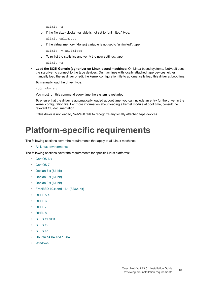ulimit -a

b If the file size (blocks) variable is not set to "unlimited," type:

ulimit unlimited

c If the virtual memory (kbytes) variable is not set to "unlimited", type:

ulimit -v unlimited

d To re-list the statistics and verify the new settings, type:

ulimit -a

**• Load the SCSI Generic (sg) driver on Linux-based machines:** On Linux-based systems, NetVault uses the **sg** driver to connect to the tape devices. On machines with locally attached tape devices, either manually load the **sg** driver or edit the kernel configuration file to automatically load this driver at boot time.

To manually load the driver, type:

modprobe sg

You must run this command every time the system is restarted.

To ensure that the driver is automatically loaded at boot time, you can include an entry for the driver in the kernel configuration file. For more information about loading a kernel module at boot time, consult the relevant OS documentation.

If this driver is not loaded, NetVault fails to recognize any locally attached tape devices.

## <span id="page-17-1"></span><span id="page-17-0"></span>**Platform-specific requirements**

The following sections cover the requirements that apply to all Linux machines:

**•** [All Linux environments](#page-18-0)

The following sections cover the requirements for specific Linux platforms:

- **•** [CentOS 6.x](#page-19-0)
- **•** [CentOS 7](#page-19-1)
- **•** [Debian 7.x \(64-bit\)](#page-20-0)
- **•** [Debian 8.x \(64-bit\)](#page-20-1)
- **•** [Debian 9.x \(64-bit\)](#page-21-0)
- **•** [FreeBSD 10.x and 11.1 \(32/64-bit\)](#page-21-1)
- **•** [RHEL 5.X](#page-22-0)
- **•** [RHEL 6](#page-22-1)
- **•** [RHEL 7](#page-23-0)
- **•** [RHEL 8](#page-23-1)
- **•** [SLES 11 SP3](#page-24-0)
- **•** [SLES 12](#page-25-0)
- **•** [SLES 15](#page-25-1)
- **•** [Ubuntu 14.04 and 16.04](#page-26-0)
- **•** [Windows](#page-27-0)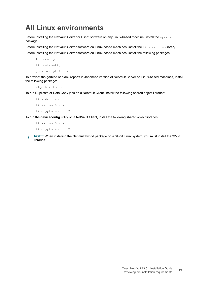## <span id="page-18-0"></span>**All Linux environments**

Before installing the NetVault Server or Client software on any Linux-based machine, install the sysstat package.

Before installing the NetVault Server software on Linux-based machines, install the libstdc++.so library.

Before installing the NetVault Server software on Linux-based machines, install the following packages:

```
fontconfig
libfontconfig
```
ghostscript-fonts

To prevent the garbled or blank reports in Japanese version of NetVault Server on Linux-based machines, install the following package:

vlgothic-fonts

To run Duplicate or Data Copy jobs on a NetVault Client, install the following shared object libraries:

libstdc++.so

```
libssl.so.0.9.7
```
libcrypto.so.0.9.7

To run the **deviceconfig** utility on a NetVault Client, install the following shared object libraries:

```
libssl.so.0.9.7
libcrypto.so.0.9.7
```
**NOTE:** When installing the NetVault hybrid package on a 64-bit Linux system, you must install the 32-bit i libraries.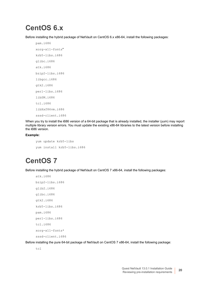### <span id="page-19-0"></span>**CentOS 6.x**

Before installing the hybrid package of NetVault on CentOS 6.x x86-64, install the following packages:

pam.i686 xorg-x11-fonts\* krb5-libs.i686 glibc.i686 atk.i686 bzip2-libs.i686 libgcc.i686 gtk2.i686 perl-libs.i686 libSM.i686 tcl.i686 libXxf86vm.i686 sssd-client.i686

When you try to install the i686 version of a 64-bit package that is already installed, the installer (yum) may report multiple library version errors. You must update the existing x86-64 libraries to the latest version before installing the i686 version.

#### **Example:**

yum update krb5-libs yum install krb5-libs.i686

### <span id="page-19-1"></span>**CentOS 7**

Before installing the hybrid package of NetVault on CentOS 7 x86-64, install the following packages:

```
atk.i686
bzip2-libs.i686
glib2.i686
glibc.i686
gtk2.i686
krb5-libs.i686
pam.i686
perl-libs.i686
tcl.i686
xorg-x11-fonts*
sssd-client.i686
```
Before installing the pure 64-bit package of NetVault on CentOS 7 x86-64, install the following package:

tcl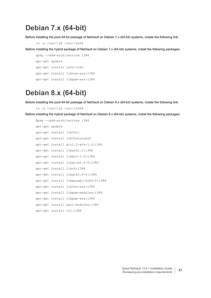### <span id="page-20-0"></span>**Debian 7.x (64-bit)**

Before installing the pure 64-bit package of NetVault on Debian 7.x (64-bit) systems, create the following link:

```
ln -s /usr/lib /usr/lib64
```
Before installing the hybrid package of NetVault on Debian 7.x (64-bit) systems, install the following packages:

```
dpkg --add-architecture i386
apt-get update
apt-get install ia32-libs 
apt-get install libnss-sss:i386
apt-get install libpam-sss:i386
```
### <span id="page-20-1"></span>**Debian 8.x (64-bit)**

Before installing the pure 64-bit package of NetVault on Debian 8.x (64-bit) systems, create the following link:

```
ln -s /usr/lib /usr/lib64
```
Before installing the hybrid package of NetVault on Debian 8.x (64-bit) systems, install the following packages:

```
dpkg --add-architecture i386
apt-get update
apt-get install lib32z1
apt-get install lib32ncurses5
apt-get install gir1.2-atk-1.0:i386
apt-get install libatk1.0:i386
apt-get install libbz2-1.0:i386
apt-get install libglib2.0-0:i386
apt-get install libc6:i386
apt-get install libgtk2.0-0:i386
apt-get install libgssapi-krb5-2:i386
apt-get install libnss-sss:i386
apt-get install libpam-modules:i386
apt-get install libpam-sss:i386
apt-get install perl-modules:i386
apt-get install tcl:i386
```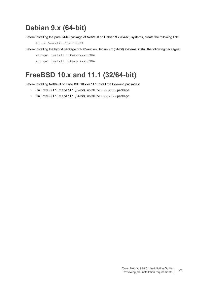## <span id="page-21-0"></span>**Debian 9.x (64-bit)**

Before installing the pure 64-bit package of NetVault on Debian 9.x (64-bit) systems, create the following link:

```
ln -s /usr/lib /usr/lib64
```
Before installing the hybrid package of NetVault on Debian 9.x (64-bit) systems, install the following packages:

```
apt-get install libnss-sss:i386
apt-get install libpam-sss:i386
```
## <span id="page-21-1"></span>**FreeBSD 10.x and 11.1 (32/64-bit)**

Before installing NetVault on FreeBSD 10.x or 11.1 install the following packages:

- **•** On FreeBSD 10.x and 11.1 (32-bit), install the compat6x package.
- **•** On FreeBSD 10.x and 11.1 (64-bit), install the compat7x package.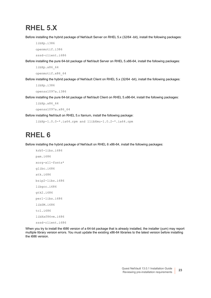### <span id="page-22-0"></span>**RHEL 5.X**

Before installing the hybrid package of NetVault Server on RHEL 5.x (32/64 -bit), install the following packages:

libXp.i386

openmotif.i386

sssd-client.i686

Before installing the pure 64-bit package of NetVault Server on RHEL 5.x86-64, install the following packages:

```
libXp.x86_64
```

```
openmotif.x86_64
```
Before installing the hybrid package of NetVault Client on RHEL 5.x (32/64 -bit), install the following packages: libXp.i386

```
openssl097a.i386
```
Before installing the pure 64-bit package of NetVault Client on RHEL 5.x86-64, install the following packages:

libXp.x86\_64

openssl097a.x86\_64

Before installing NetVault on RHEL 5.x Itanium, install the following package:

libXp-1.0.0-\*.ia64.rpm and llibXmu-1.0.2-\*.ia64.rpm

## <span id="page-22-1"></span>**RHEL 6**

Before installing the hybrid package of NetVault on RHEL 6 x86-64, install the following packages:

```
krb5-libs.i686
pam.i686
xorg-x11-fonts*
glibc.i686
atk.i686
bzip2-libs.i686
libgcc.i686
gtk2.i686
perl-libs.i686
libSM.i686
tcl.i686
libXxf86vm.i686
sssd-client.i686
```
When you try to install the i686 version of a 64-bit package that is already installed, the installer (yum) may report multiple library version errors. You must update the existing x86-64 libraries to the latest version before installing the i686 version.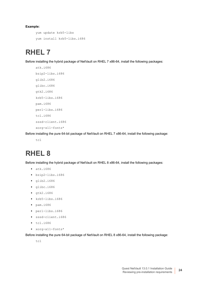#### **Example:**

```
yum update krb5-libs
yum install krb5-libs.i686
```
### <span id="page-23-0"></span>**RHEL 7**

Before installing the hybrid package of NetVault on RHEL 7 x86-64, install the following packages:

```
atk.i686
bzip2-libs.i686
glib2.i686
glibc.i686
gtk2.i686
krb5-libs.i686
pam.i686
perl-libs.i686
tcl.i686
sssd-client.i686
xorg-x11-fonts*
```
Before installing the pure 64-bit package of NetVault on RHEL 7 x86-64, install the following package:

```
tcl
```
## <span id="page-23-1"></span>**RHEL 8**

Before installing the hybrid package of NetVault on RHEL 8 x86-64, install the following packages:

- **•** atk.i686
- **•** bzip2-libs.i686
- **•** glib2.i686
- **•** glibc.i686
- **•** gtk2.i686
- **•** krb5-libs.i686
- **•** pam.i686
- **•** perl-libs.i686
- **•** sssd-client.i686
- **•** tcl.i686
- **•** xorg-x11-fonts\*

Before installing the pure 64-bit package of NetVault on RHEL 8 x86-64, install the following package:

tcl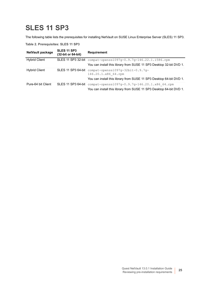## <span id="page-24-0"></span>**SLES 11 SP3**

The following table lists the prerequisites for installing NetVault on SUSE Linux Enterprise Server (SLES) 11 SP3.

**Table 2. Prerequisites: SLES 11 SP3**

| <b>NetVault package</b> | SLES 11 SP3<br>(32-bit or 64-bit) | <b>Requirement</b>                                                                                                                      |
|-------------------------|-----------------------------------|-----------------------------------------------------------------------------------------------------------------------------------------|
| <b>Hybrid Client</b>    | SLES 11 SP3 32-bit                | compat-openss1097q-0.9.7q-146.22.1.i586.rpm                                                                                             |
|                         |                                   | You can install this library from SUSE 11 SP3 Desktop 32-bit DVD 1.                                                                     |
| <b>Hybrid Client</b>    |                                   | SLES 11 SP3 64-bit compat-openss1097g-32bit-0.9.7g-<br>146.20.1.x86 64.rpm                                                              |
|                         |                                   | You can install this library from SUSE 11 SP3 Desktop 64-bit DVD 1.                                                                     |
| Pure-64 bit Client      |                                   | SLES 11 SP3 64-bit compat-openss1097g-0.9.7g-146.20.1.x86 64.rpm<br>You can install this library from SUSE 11 SP3 Desktop 64-bit DVD 1. |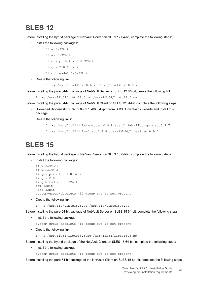## <span id="page-25-0"></span>**SLES 12**

Before installing the hybrid package of NetVault Server on SLES 12 64-bit, complete the following steps:

**•** Install the following packages:

```
linkt6-32bitlibXmu6-32bit
libgdk_pixbuf-2_0-0-32bit
libgtk-2_0-0-32bit
libgthread-2_0-0-32bit
```
**•** Create the following link:

```
ln -s /usr/lib/libtcl8.6.so /usr/lib/libtcl8.5.so
```
Before installing the pure 64-bit package of NetVault Server on SLES 12 64-bit, create the following link:

```
ln -s /usr/lib64/libtcl8.6.so /usr/lib64/libtcl8.5.so
```
Before installing the pure 64-bit package of NetVault Client on SLES 12 64-bit, complete the following steps:

- **•** Download libopenssl0\_9\_8-0.9.8j-62.1.x86\_64.rpm from SUSE Downloads website and install this package.
- **•** Create the following links:

```
ln -s /usr/lib64/libcrypto.so.0.9.8 /usr/lib64/libcrypto.so.0.9.7
```

```
ln -s /usr/lib64/libssl.so.0.9.8 /usr/lib64/libssl.so.0.9.7
```
## <span id="page-25-1"></span>**SLES 15**

Before installing the hybrid package of NetVault Server on SLES 15 64-bit, complete the following steps:

**•** Install the following packages:

```
libXt6-32bit
libXmu6-32bit
libgdk_pixbuf-2_0-0-32bit
libgtk-20-0-32bit
libgthread-2_0-0-32bit
pam-32bit
krb5-32bit
system-group-obsolete (if group sys is not present)
```
**•** Create the following link:

ln -s /usr/lib/libtcl8.6.so /usr/lib/libtcl8.5.so

Before installing the pure 64-bit package of NetVault Server on SLES 15 64-bit, complete the following steps:

**•** Install the following package:

```
system-group-obsolete (if group sys is not present)
```
- **•** Create the following link:
	- ln -s /usr/lib64/libtcl8.6.so /usr/lib64/libtcl8.5.so

Before installing the hybrid package of the NetVault Client on SLES 15 64-bit, complete the following steps:

- **•** Install the following package:
	- system-group-obsolete (if group sys is not present)

Before installing the pure 64-bit package of the NetVault Client on SLES 15 64-bit, complete the following steps: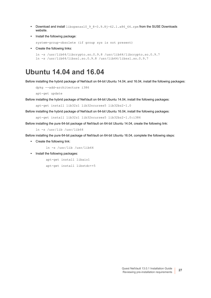- Download and install libopenssl0  $98-0.9.8j-62.1.x8664.rpm from the SUSE Downloads$ website.
- **•** Install the following package:

system-group-obsolete (if group sys is not present)

**•** Create the following links:

```
ln -s /usr/lib64/libcrypto.so.0.9.8 /usr/lib64/libcrypto.so.0.9.7
ln -s /usr/lib64/libssl.so.0.9.8 /usr/lib64/libssl.so.0.9.7
```
### <span id="page-26-0"></span>**Ubuntu 14.04 and 16.04**

Before installing the hybrid package of NetVault on 64-bit Ubuntu 14.04, and 16.04, install the following packages:

```
dpkg --add-architecture i386
```
apt-get update

Before installing the hybrid package of NetVault on 64-bit Ubuntu 14.04, install the following packages:

apt-get install lib32z1 lib32ncurses5 lib32bz2-1.0

Before installing the hybrid package of NetVault on 64-bit Ubuntu 16.04, install the following packages:

apt-get install lib32z1 lib32ncurses5 lib32bz2-1.0:i386

Before installing the pure 64-bit package of NetVault on 64-bit Ubuntu 14.04, create the following link:

ln -s /usr/lib /usr/lib64

Before installing the pure 64-bit package of NetVault on 64-bit Ubuntu 16.04, complete the following steps:

**•** Create the following link:

ln -s /usr/lib /usr/lib64

**•** Install the following packages:

apt-get install libaio1 apt-get install libstdc++5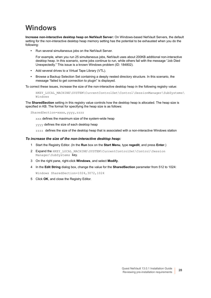## <span id="page-27-0"></span>**Windows**

**Increase non-interactive desktop heap on NetVault Server:** On Windows-based NetVault Servers, the default setting for the non-interactive desktop heap memory setting has the potential to be exhausted when you do the following:

**•** Run several simultaneous jobs on the NetVault Server.

For example, when you run 25 simultaneous jobs, NetVault uses about 200KB additional non-interactive desktop heap. In this scenario, some jobs continue to run, while others fail with the message "Job Died Unexpectedly." This issue is a known Windows problem (ID: 184802).

- **•** Add several drives to a Virtual Tape Library (VTL).
- **•** Browse a Backup Selection Set containing a deeply nested directory structure. In this scenario, the message "failed to get connection to plugin" is displayed.

To correct these issues, increase the size of the non-interactive desktop heap in the following registry value:

HKEY\_LOCAL\_MACHINE\SYSTEM\CurrentControlSet\Control\SessionManager\SubSystems\ Windows

The **SharedSection** setting in this registry value controls how the desktop heap is allocated. The heap size is specified in KB. The format for specifying the heap size is as follows:

SharedSection=xxxx,yyyy,zzzz

xxx defines the maximum size of the system-wide heap

yyyy defines the size of each desktop heap

zzzz defines the size of the desktop heap that is associated with a non-interactive Windows station

#### *To increase the size of the non-interactive desktop heap:*

- 1 Start the Registry Editor. (In the **Run** box on the **Start Menu**, type **regedit**, and press **Enter**.)
- 2 Expand the HKEY\_LOCAL\_MACHINE\SYSTEM\CurrentControlSet\Control\Session Manager\SubSystems  $Key.$
- 3 On the right pane, right-click **Windows**, and select **Modify**.
- 4 In the **Edit String** dialog box, change the value for the **SharedSection** parameter from 512 to 1024: Windows SharedSection=1024,3072,1024
- 5 Click **OK**, and close the Registry Editor.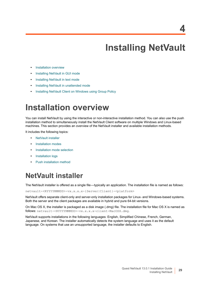# **Installing NetVault**

- <span id="page-28-0"></span>**•** [Installation overview](#page-28-1)
- **•** [Installing NetVault in GUI mode](#page-30-2)
- **•** [Installing NetVault in text mode](#page-37-0)
- **•** [Installing NetVault in unattended mode](#page-40-0)
- **•** [Installing NetVault Client on Windows using Group Policy](#page-44-0)

## <span id="page-28-1"></span>**Installation overview**

You can install NetVault by using the interactive or non-interactive installation method. You can also use the push installation method to simultaneously install the NetVault Client software on multiple Windows and Linux-based machines. This section provides an overview of the NetVault installer and available installation methods.

It includes the following topics:

- **•** [NetVault installer](#page-28-2)
- **•** [Installation modes](#page-29-0)
- **•** [Installation mode selection](#page-29-1)
- **•** [Installation logs](#page-30-0)
- **•** [Push installation method](#page-30-1)

### <span id="page-28-2"></span>**NetVault installer**

The NetVault installer is offered as a single file—typically an application. The installation file is named as follows:

netvault-<RYYYYMMMDD>-vx.x.x.x-{Server|Client}-<platform>

NetVault offers separate client-only and server-only installation packages for Linux- and Windows-based systems. Both the server and the client packages are available in hybrid and pure 64-bit versions.

On Mac OS X, the installer is packaged as a disk image (.dmg) file. The installation file for Mac OS X is named as follows: netvault-<RYYYYMMMDD>-vx.x.x.x-client-MacOSX.dmg.

NetVault supports installations in the following languages: English, Simplified Chinese, French, German, Japanese, and Korean. The installer automatically detects the system language and uses it as the default language. On systems that use an unsupported language, the installer defaults to English.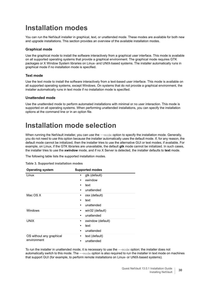## <span id="page-29-0"></span>**Installation modes**

You can run the NetVault installer in graphical, text, or unattended mode. These modes are available for both new and upgrade installations. This section provides an overview of the available installation modes.

#### **Graphical mode**

Use the graphical mode to install the software interactively from a graphical user interface. This mode is available on all supported operating systems that provide a graphical environment. The graphical mode requires GTK packages or X Window System libraries on Linux- and UNIX-based systems. The installer automatically runs in graphical mode if no installation mode is specified.

#### **Text mode**

Use the text mode to install the software interactively from a text-based user interface. This mode is available on all supported operating systems, except Windows. On systems that do not provide a graphical environment, the installer automatically runs in text mode if no installation mode is specified.

#### **Unattended mode**

Use the unattended mode to perform automated installations with minimal or no user interaction. This mode is supported on all operating systems. When performing unattended installations, you can specify the installation options at the command line or in an option file.

## <span id="page-29-1"></span>**Installation mode selection**

When running the NetVault installer, you can use the --mode option to specify the installation mode. Generally, you do not need to use this option because the installer automatically uses the default mode. If, for any reason, the default mode cannot be initialized, then the installer tries to use the alternative GUI or text modes, if available. For example, on Linux, if the GTK libraries are unavailable, the default **gtk** mode cannot be initialized. In such cases, the installer tries to use the **xwindow** mode, and if no X Server is detected, the installer defaults to **text** mode.

The following table lists the supported installation modes.

| Table 3. Supported installation modes |  |  |  |  |
|---------------------------------------|--|--|--|--|
|---------------------------------------|--|--|--|--|

| <b>Operating system</b>  | <b>Supported modes</b>       |
|--------------------------|------------------------------|
| Linux                    | gtk (default)                |
|                          | xwindow                      |
|                          | text                         |
|                          | unattended                   |
| Mac OS X                 | osx (default)                |
|                          | text<br>٠                    |
|                          | unattended                   |
| Windows                  | win32 (default)<br>$\bullet$ |
|                          | unattended                   |
| <b>UNIX</b>              | xwindow (default)<br>٠       |
|                          | text                         |
|                          | unattended<br>٠              |
| OS without any graphical | text (default)<br>٠          |
| environment              | unattended                   |

To run the installer in unattended mode, it is necessary to use the --mode option; the installer does not automatically switch to this mode. The --mode option is also required to run the installer in text mode on machines that support GUI (for example, to perform remote installations on Linux- or UNIX-based systems).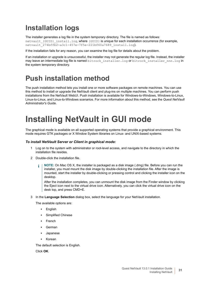## <span id="page-30-0"></span>**Installation logs**

The installer generates a log file in the system temporary directory. The file is named as follows: netvault {GUID} install.log, where {GUID} is unique for each installation occurrence (for example,  $n$ etvault<sup>-274bffb2-a3c1-457e-7f5e-221bf60a7689\_install.log).</sup>

If the installation fails for any reason, you can examine the log file for details about the problem.

If an installation or upgrade is unsuccessful, the installer may not generate the regular log file. Instead, the installer may leave an intermediate log file is named bitrock installer.log or bitrock installer nnn.log in the system temporary directory.

## <span id="page-30-1"></span>**Push installation method**

The push installation method lets you install one or more software packages on remote machines. You can use this method to install or upgrade the NetVault client and plug-ins on multiple machines. You can perform push installations from the NetVault WebUI. Push installation is available for Windows-to-Windows, Windows-to-Linux, Linux-to-Linux, and Linux-to-Windows scenarios. For more information about this method, see the *Quest NetVault Administrator's Guide*.

## <span id="page-30-2"></span>**Installing NetVault in GUI mode**

The graphical mode is available on all supported operating systems that provide a graphical environment. This mode requires GTK packages or X Window System libraries on Linux- and UNIX-based systems.

#### *To install NetVault Server or Client in graphical mode:*

- 1 Log on to the system with administrator or root-level access, and navigate to the directory in which the installation file resides.
- 2 Double-click the installation file.
	- **NOTE:** On Mac OS X, the installer is packaged as a disk image (.dmg) file. Before you can run the ÷ installer, you must mount the disk image by double-clicking the installation file. After the image is mounted, start the installer by double-clicking or pressing control and clicking the installer icon on the desktop.

After the installation completes, you can unmount the disk image from the Finder window by clicking the Eject icon next to the virtual drive icon. Alternatively, you can click the virtual drive icon on the desk top, and press CMD+E.

3 In the **Language Selection** dialog box, select the language for your NetVault installation.

The available options are:

- **▪** English
- **▪** Simplified Chinese
- **▪** French
- **▪** German
- **▪** Japanese
- **▪** Korean

The default selection is English.

Click **OK**.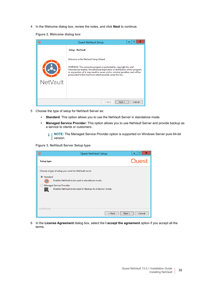4 In the Welcome dialog box, review the notes, and click **Next** to continue.

**Figure 2. Welcome dialog box**

| O        | x<br>Quest NetVault Setup                                                                                                                                                                                                                                                                                                                         |
|----------|---------------------------------------------------------------------------------------------------------------------------------------------------------------------------------------------------------------------------------------------------------------------------------------------------------------------------------------------------|
|          | Setup - NetVault                                                                                                                                                                                                                                                                                                                                  |
|          | Welcome to the NetVault Setup Wizard.<br>WARNING: This computer program is protected by copyright law and<br>international treaties. Unauthorized duplication or distribution of this program,<br>or any portion of it, may result in severe civil or criminal penalties, and will be<br>prosecuted to the maximum extent possible under the law. |
| NetVault |                                                                                                                                                                                                                                                                                                                                                   |
|          | Cancel<br>$<$ Back<br>Next >                                                                                                                                                                                                                                                                                                                      |

- 5 Choose the type of setup for NetVault Server as:
	- **Standard:** This option allows you to use the NetVault Server in standalone mode.
	- **▪ Managed Service Provider:** This option allows you to use NetVault Server and provide backup as a service to clients or customers.
		- **NOTE:** The Managed Service Provider option is supported on Windows Server pure 64-bit  $\mathbf{i}$ version.

**Figure 3. NetVault Server Setup type**

| O                 | <b>Quest NetVault Setup</b>                                                                                                                                                                             | ×<br>□ |
|-------------------|---------------------------------------------------------------------------------------------------------------------------------------------------------------------------------------------------------|--------|
| <b>Setup type</b> |                                                                                                                                                                                                         | Quest  |
| ◉ Standard<br>鐦   | Choose a type of setup you want for NetVault server<br>Enables NetVault to be used in standalone mode.<br><b>Managed Service Provider</b><br>Enables NetVault to be used in 'Backup As A Service' mode. |        |
| InstallBuilder    | $<$ Back<br>l<br>Next >                                                                                                                                                                                 | Cancel |

6 In the **License Agreement** dialog box, select the **I accept the agreement** option if you accept all the terms.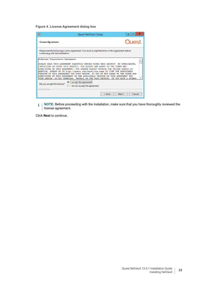**Figure 4. License Agreement dialog box**

|                                   | <b>Quest NetVault Setup</b>                                                                                                                                                                                                                                                                                                                                                                                                                                                                                                                                                      | ×                |
|-----------------------------------|----------------------------------------------------------------------------------------------------------------------------------------------------------------------------------------------------------------------------------------------------------------------------------------------------------------------------------------------------------------------------------------------------------------------------------------------------------------------------------------------------------------------------------------------------------------------------------|------------------|
| <b>License Agreement</b>          |                                                                                                                                                                                                                                                                                                                                                                                                                                                                                                                                                                                  | Quest            |
| continuing with the installation. | Please read the following License Agreement. You must accept the terms of this agreement before                                                                                                                                                                                                                                                                                                                                                                                                                                                                                  |                  |
| Software Transaction Agreement    |                                                                                                                                                                                                                                                                                                                                                                                                                                                                                                                                                                                  |                  |
|                                   | PLEASE READ THIS AGREEMENT CAREFULLY BEFORE USING THIS PRODUCT. BY DOWNLOADING,<br>INSTALLING OR USING THIS PRODUCT, YOU ACCEPT AND AGREE TO THE TERMS AND<br>CONDITIONS OF THIS AGREEMENT. FOR ORDERS PLACED OUTSIDE THE UNITED STATES OF<br>AMERICA, PLEASE GO TO http://quest.com/legal/sta.aspx TO VIEW THE APPLICABLE<br>VERSION OF THIS AGREEMENT FOR YOUR REGION. IF YOU DO NOT AGREE TO THE TERMS AND<br>CONDITIONS OF THIS AGREEMENT OR THE APPLICABLE VERSION OF THIS AGREEMENT FOR<br>YOUR REGION. DO NOT DOWNLOAD. INSTALL OR USE THIS PRODUCT. IF YOU HAVE A SIGNED |                  |
| Do you accept this license?       | I accept the agreement<br>I do not accept the agreement                                                                                                                                                                                                                                                                                                                                                                                                                                                                                                                          |                  |
| InstallBuilder                    | $<$ Back                                                                                                                                                                                                                                                                                                                                                                                                                                                                                                                                                                         | Next ><br>Cancel |

 $\mathbf i$ **NOTE:** Before proceeding with the installation, make sure that you have thoroughly reviewed the license agreement.

Click **Next** to continue.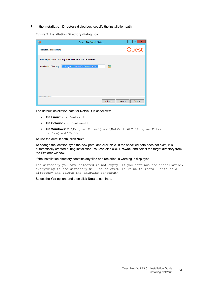7 In the **Installation Directory** dialog box, specify the installation path.

**Figure 5. Installation Directory dialog box**

| O<br>Quest NetVault Setup                                                    | ×<br>▭<br>-      |
|------------------------------------------------------------------------------|------------------|
| <b>Installation Directory</b>                                                | Quest            |
| Please specify the directory where NetVault will be installed.               |                  |
| C:\Program Files (x86)\Quest\NetVault<br>гQ<br><b>Installation Directory</b> |                  |
|                                                                              |                  |
|                                                                              |                  |
|                                                                              |                  |
| InstallBuilder                                                               |                  |
| < Back                                                                       | Cancel<br>Next > |

The default installation path for NetVault is as follows:

- **▪ On Linux:** /usr/netvault
- **▪ On Solaris:** /opt/netvault
- **▪ On Windows:** C:\Program Files\Quest\NetVault or C:\Program Files (x86)\Quest\NetVault

To use the default path, click **Next**.

To change the location, type the new path, and click **Next**. If the specified path does not exist, it is automatically created during installation. You can also click **Browse**, and select the target directory from the Explorer window.

If the installation directory contains any files or directories, a warning is displayed:

The directory you have selected is not empty. If you continue the installation, everything in the directory will be deleted. Is it OK to install into this directory and delete the existing contents?

Select the **Yes** option, and then click **Next** to continue.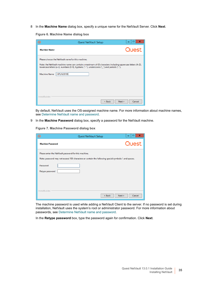8 In the **Machine Name** dialog box, specify a unique name for the NetVault Server. Click **Next**.

**Figure 6. Machine Name dialog box**

| O                                                                               | Quest NetVault Setup                                                                                                                                                                                     | ×                |
|---------------------------------------------------------------------------------|----------------------------------------------------------------------------------------------------------------------------------------------------------------------------------------------------------|------------------|
| <b>Machine Name</b>                                                             |                                                                                                                                                                                                          | Quest            |
| Please choose the NetVault name for this machine.<br>HIPUN59199<br>Machine Name | Note: the NetVault machine name can contain a maximum of 63 characters including uppercase letters (A-Z),<br>lowercase letters (a-z), numbers (0-9), hyphens ("-"), underscores ("_") and periods ("."). |                  |
| InstallBuilder                                                                  | $<$ Back                                                                                                                                                                                                 | Next ><br>Cancel |

By default, NetVault uses the OS-assigned machine name. For more information about machine names, see [Determine NetVault name and password.](#page-13-2)

9 In the **Machine Password** dialog box, specify a password for the NetVault machine.

**Figure 7. Machine Password dialog box**

| $_{\mathord{\circ} }$       | Quest NetVault Setup                                                                                                                                         | ×<br>□ |
|-----------------------------|--------------------------------------------------------------------------------------------------------------------------------------------------------------|--------|
| <b>Machine Password</b>     |                                                                                                                                                              | Quest  |
| Password<br>Retype password | Please enter the NetVault password for this machine.<br>Note: password may not exceed 100 characters or contain the following special symbols: \ and spaces. |        |
| InstallBuilder              | < Back<br>Next >                                                                                                                                             | Cancel |

The machine password is used while adding a NetVault Client to the server. If no password is set during installation, NetVault uses the system's root or administrator password. For more information about passwords, see [Determine NetVault name and password.](#page-13-2)

In the **Retype password** box, type the password again for confirmation. Click **Next**.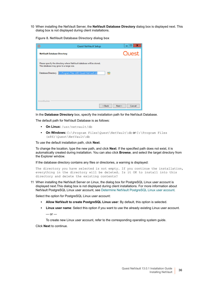10 When installing the NetVault Server, the **NetVault Database Directory** dialog box is displayed next. This dialog box is not displayed during client installations.

**Figure 8. NetVault Database Directory dialog box**

| O                                  | Quest NetVault Setup                                                                                           | x<br>Е           |
|------------------------------------|----------------------------------------------------------------------------------------------------------------|------------------|
| <b>NetVault Database Directory</b> |                                                                                                                | Quest            |
|                                    | Please specify the directory where NetVault database will be stored.<br>The database may grow to a large size. |                  |
| Database Directory                 | C:\Program Files (x86)\Quest\NetVault\db<br><b>RO</b>                                                          |                  |
|                                    |                                                                                                                |                  |
|                                    |                                                                                                                |                  |
| <b>InstallBuilder</b>              | < Back                                                                                                         | Cancel<br>Next > |

In the **Database Directory** box, specify the installation path for the NetVault Database.

The default path for NetVault Database is as follows:

- **▪ On Linux:** /usr/netvault/db
- **▪ On Windows:** C:\Program Files\Quest\NetVault\db or C:\Program Files (x86)\Quest\NetVault\db

To use the default installation path, click **Next**.

To change the location, type the new path, and click **Next**. If the specified path does not exist, it is automatically created during installation. You can also click **Browse**, and select the target directory from the Explorer window.

If the database directory contains any files or directories, a warning is displayed:

The directory you have selected is not empty. If you continue the installation, everything in the directory will be deleted. Is it OK to install into this directory and delete the existing contents?

11 When installing the NetVault Server on Linux, the dialog box for PostgreSQL Linux user account is displayed next.This dialog box is not displayed during client installations. For more information about NetVault PostgreSQL Linux user account, see [Determine NetVault PostgreSQL Linux user account](#page-14-1).

Select the option for PostgreSQL Linux user account:

- **▪ Allow NetVault to create PostgreSQL Linux use**r: By default, this option is selected.
- **▪ Linux user name**: Select this option if you want to use the already existing Linux user account.  $-$  or  $-$

To create new Linux user account, refer to the corresponding operating system guide.

Click **Next** to continue.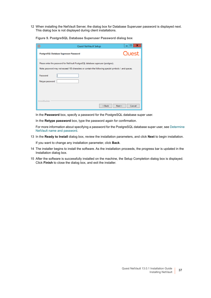12 When installing the NetVault Server, the dialog box for Database Superuser password is displayed next. This dialog box is not displayed during client installations.

**Figure 9. PostgreSQL Database Superuser Password dialog box**

| $\circledcirc$              | Quest NetVault Setup                                                                                                                                                                     | x<br>▬ |
|-----------------------------|------------------------------------------------------------------------------------------------------------------------------------------------------------------------------------------|--------|
|                             | PostgreSQL Database Superuser Password                                                                                                                                                   | Quest  |
|                             | Please enter the password for NetVault PostgreSQL database superuser (postgres).<br>Note: password may not exceed 100 characters or contain the following special symbols: \ and spaces. |        |
| Password<br>Retype password |                                                                                                                                                                                          |        |
| InstallBuilder              | < Back<br>Next >                                                                                                                                                                         | Cancel |

In the **Password** box, specify a password for the PostgreSQL database super user.

In the **Retype password** box, type the password again for confirmation.

For more information about specifying a password for the PostgreSQL database super user, see [Determine](#page-13-2)  [NetVault name and password.](#page-13-2)

13 In the **Ready to Install** dialog box, review the installation parameters, and click **Next** to begin installation.

If you want to change any installation parameter, click **Back**.

- 14 The installer begins to install the software. As the installation proceeds, the progress bar is updated in the Installation dialog box.
- 15 After the software is successfully installed on the machine, the Setup Completion dialog box is displayed. Click **Finish** to close the dialog box, and exit the installer.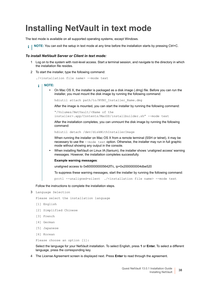## <span id="page-37-0"></span>**Installing NetVault in text mode**

The text mode is available on all supported operating systems, except Windows.

**i** | NOTE: You can exit the setup in text mode at any time before the installation starts by pressing Ctrl+C.

#### *To install NetVault Server or Client in text mode:*

- 1 Log on to the system with root-level access. Start a terminal session, and navigate to the directory in which the installation file resides.
- 2 To start the installer, type the following command:

./<installation file name> --mode text

#### **NOTE:**  ÷

**•** On Mac OS X, the installer is packaged as a disk image (.dmg) file. Before you can run the installer, you must mount the disk image by running the following command:

hdiutil attach path/to/NVBU\_Installer\_Name.dmg

After the image is mounted, you can start the installer by running the following command:

"/Volumes/NetVault/<Name of the

installer>.app/Contents/MacOS/installbuilder.sh" --mode text

After the installation completes, you can unmount the disk image by running the following command:

hdiutil detach /dev/diskWithInstallerImage

When running the installer on Mac OS X from a remote terminal (SSH or telnet), it may be necessary to use the --mode text option. Otherwise, the installer may run in full graphic mode without showing any output in the console.

**•** When installing NetVault on Linux IA (Itanium), the installer shows 'unaligned access' warning messages. However, the installation completes successfully.

#### **Example warning messages**:

unaligned access to 0x6000000005642f7c, ip=0x2000000004dbe520

To suppress these warning messages, start the installer by running the following command:

prctl --unaligned=silent ./<installation file name> --mode text

Follow the instructions to complete the installation steps.

#### 3 Language Selection

Please select the installation language

- [1] English
- [2] Simplified Chinese
- [3] French
- [4] German
- [5] Japanese
- [6] Korean

Please choose an option [1]:

Select the language for your NetVault installation. To select English, press **1** or **Enter.** To select a different language, press the corresponding key.

4 The License Agreement screen is displayed next. Press **Enter** to read through the agreement.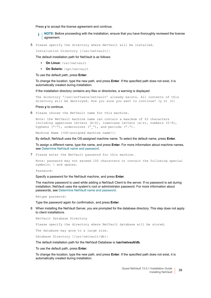Press **y** to accept the license agreement and continue.

**NOTE:** Before proceeding with the installation, ensure that you have thoroughly reviewed the license f agreement.

5 Please specify the directory where NetVault will be installed.

Installation Directory [/usr/netvault]:

The default installation path for NetVault is as follows:

- **▪ On Linux:** /usr/netvault
- **▪ On Solaris:** /opt/netvault

To use the default path, press **Enter**.

To change the location, type the new path, and press **Enter**. If the specified path does not exist, it is automatically created during installation.

If the installation directory contains any files or directories, a warning is displayed:

The directory '/usr/software/netvault' already exists. All contents of this directory will be destroyed. Are you sure you want to continue? (y n) [n]

Press **y** to continue.

6 Please choose the NetVault name for this machine.

Note: the NetVault machine name can contain a maximum of 63 characters including uppercase letters  $(A-Z)$ , lowercase letters  $(a-z)$ , numbers  $(0-9)$ , hyphens  $("-")$ , underscores  $("_}'')$ , and periods  $(".^")$ .

Machine Name [<OS-assigned machine name>]:

By default, NetVault uses the OS-assigned machine name. To select the default name, press **Enter**.

To assign a different name, type the name, and press **Enter**. For more information about machine names, see [Determine NetVault name and password.](#page-13-2)

7 Please enter the NetVault password for this machine.

Note: password may not exceed 100 characters or contain the following special symbols: \ and spaces.

Password:

Specify a password for the NetVault machine, and press **Enter**.

The machine password is used while adding a NetVault Client to the server. If no password is set during installation, NetVault uses the system's root or administrator password. For more information about passwords, see [Determine NetVault name and password.](#page-13-2)

Retype password:

Type the password again for confirmation, and press **Enter**.

8 When installing the NetVault Server, you are prompted for the database directory. This step does not apply to client installations.

NetVault Database Directory

Please specify the directory where NetVault database will be stored.

The database may grow to a large size.

Database Directory [/usr/netvault/db]:

The default installation path for the NetVault Database is **/usr/netvault/db**.

To use the default path, press **Enter**.

To change the location, type the new path, and press **Enter**. If the specified path does not exist, it is automatically created during installation.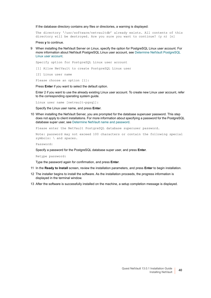If the database directory contains any files or directories, a warning is displayed:

The directory '/usr/software/netvaultdb' already exists. All contents of this directory will be destroyed. Are you sure you want to continue? (y n) [n]

Press **y** to continue.

9 When installing the NetVault Server on Linux, specify the option for PostgreSQL Linux user account. For more information about NetVault PostgreSQL Linux user account, see [Determine NetVault PostgreSQL](#page-14-1)  [Linux user account](#page-14-1).

Specify option for PostgreSQL Linux user account

[1] Allow NetVault to create PostgreSOL Linux user

[2] Linux user name

Please choose an option [1]:

Press **Enter** if you want to select the default option.

Enter 2 if you want to use the already existing Linux user account. To create new Linux user account, refer to the corresponding operating system guide.

Linux user name [netvault-pgsql]:

Specify the Linux user name, and press **Enter**.

10 When installing the NetVault Server, you are prompted for the database superuser password. This step does not apply to client installations. For more information about specifying a password for the PostgreSQL database super user, see [Determine NetVault name and password](#page-13-2).

Please enter the NetVault PostgreSQL database superuser password.

Note: password may not exceed 100 characters or contain the following special symbols: \ and spaces.

Password:

Specify a password for the PostgreSQL database super user, and press **Enter**.

Retype password:

Type the password again for confirmation, and press **Enter**.

- 11 In the **Ready to Install** screen, review the installation parameters, and press **Enter** to begin installation.
- 12 The installer begins to install the software. As the installation proceeds, the progress information is displayed in the terminal window.
- 13 After the software is successfully installed on the machine, a setup completion message is displayed.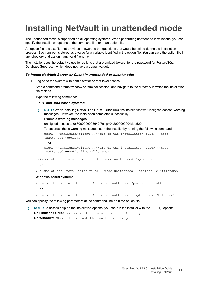# <span id="page-40-0"></span>**Installing NetVault in unattended mode**

The unattended mode is supported on all operating systems. When performing unattended installations, you can specify the installation options at the command line or in an option file.

An option file is a text file that provides answers to the questions that would be asked during the installation process. Each answer is stored as a value for a variable identified in the option file. You can save the option file in any directory and assign it any valid filename.

The installer uses the default values for options that are omitted (except for the password for PostgreSQL Database Superuser, which does not have a default value).

#### *To install NetVault Server or Client in unattended or silent mode:*

- 1 Log on to the system with administrator or root-level access.
- 2 Start a command prompt window or terminal session, and navigate to the directory in which the installation file resides.
- 3 Type the following command:

#### **Linux- and UNIX-based systems:**

**NOTE:** When installing NetVault on Linux IA (Itanium), the installer shows 'unaligned access' warning ÷. messages. However, the installation completes successfully.

**Example warning messages**:

unaligned access to 0x6000000005642f7c, ip=0x2000000004dbe520

To suppress these warning messages, start the installer by running the following command: prctl --unaligned=silent ./<Name of the installation file> --mode unattended <options>  $-$  or  $$ prctl --unaligned=silent ./<Name of the installation file> --mode unattended --optionfile <filename>

./<Name of the installation file> --mode unattended <options>

 $-$  or  $-$ 

./<Name of the installation file> --mode unattended --optionfile <filename>

#### **Windows-based systems:**

<Name of the installation file> --mode unattended <parameter list>

 $-$  or  $-$ 

<Name of the installation file> --mode unattended --optionfile <filename>

You can specify the following parameters at the command line or in the option file.

**NOTE:** To access help on the installation options, you can run the installer with the --help option: **On Linux and UNIX:** ./<Name of the installation file> --help **On Windows:** <Name of the installation file> --help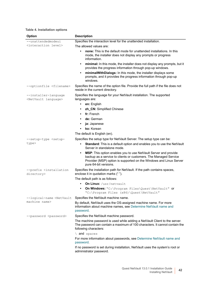#### **Table 4. Installation options**

| <b>Option</b>                                                                                                       | <b>Description</b>                                                                                                                                                                                                                              |
|---------------------------------------------------------------------------------------------------------------------|-------------------------------------------------------------------------------------------------------------------------------------------------------------------------------------------------------------------------------------------------|
| --unattendedmodeui                                                                                                  | Specifies the interaction level for the unattended installation.                                                                                                                                                                                |
| <interaction level=""></interaction>                                                                                | The allowed values are:                                                                                                                                                                                                                         |
|                                                                                                                     | none: This is the default mode for unattended installations. In this<br>$\bullet$<br>mode, the installer does not display any prompts or progress<br>information.                                                                               |
|                                                                                                                     | minimal: In this mode, the installer does not display any prompts, but it<br>٠<br>provides the progress information through pop-up windows.                                                                                                     |
|                                                                                                                     | minimalWithDialogs: In this mode, the installer displays some<br>٠<br>prompts, and it provides the progress information through pop-up<br>windows.                                                                                              |
| --optionfile <filename></filename>                                                                                  | Specifies the name of the option file. Provide the full path if the file does not<br>reside in the current directory.                                                                                                                           |
| --installer-language<br><netvault language=""></netvault>                                                           | Specifies the language for your NetVault installation. The supported<br>languages are:                                                                                                                                                          |
|                                                                                                                     | en: English<br>$\bullet$                                                                                                                                                                                                                        |
|                                                                                                                     | zh_CN: Simplified Chinese<br>$\bullet$                                                                                                                                                                                                          |
|                                                                                                                     | fr: French<br>$\bullet$                                                                                                                                                                                                                         |
|                                                                                                                     | de: German<br>$\bullet$                                                                                                                                                                                                                         |
|                                                                                                                     | ja: Japanese                                                                                                                                                                                                                                    |
|                                                                                                                     | ko: Korean                                                                                                                                                                                                                                      |
|                                                                                                                     | The default is English (en).                                                                                                                                                                                                                    |
| --setup-type <setup-< th=""><td>Specifies the setup type for NetVault Server. The setup type can be:</td></setup-<> | Specifies the setup type for NetVault Server. The setup type can be:                                                                                                                                                                            |
| type>                                                                                                               | Standard: This is a default option and enables you to use the NetVault<br>$\bullet$<br>Server in standalone mode.                                                                                                                               |
|                                                                                                                     | MSP: This option enables you to use NetVault Server and provide<br>$\bullet$<br>backup as a service to clients or customers. The Managed Service<br>Provider (MSP) option is supported on the Windows and Linux Server<br>pure 64-bit versions. |
| --prefix <installation<br>directory&gt;</installation<br>                                                           | Specifies the installation path for NetVault. If the path contains spaces,<br>enclose it in quotation marks (" ").                                                                                                                              |
|                                                                                                                     | The default path is as follows:                                                                                                                                                                                                                 |
|                                                                                                                     | On Linux: /usr/netvault                                                                                                                                                                                                                         |
|                                                                                                                     | On Windows: "C: \Program Files\Quest\NetVault" or<br>"C:\Program Files (x86)\Quest\NetVault"                                                                                                                                                    |
| --logical-name <netvault< th=""><td>Specifies the NetVault machine name.</td></netvault<>                           | Specifies the NetVault machine name.                                                                                                                                                                                                            |
| machine name>                                                                                                       | By default, NetVault uses the OS-assigned machine name. For more<br>information about machine names, see Determine NetVault name and<br>password.                                                                                               |
| --password <password></password>                                                                                    | Specifies the NetVault machine password.                                                                                                                                                                                                        |
|                                                                                                                     | The machine password is used while adding a NetVault Client to the server.<br>The password can contain a maximum of 100 characters. It cannot contain the<br>following characters:                                                              |
|                                                                                                                     | \ and spaces                                                                                                                                                                                                                                    |
|                                                                                                                     | For more information about passwords, see Determine NetVault name and<br>password.                                                                                                                                                              |
|                                                                                                                     | If no password is set during installation, NetVault uses the system's root or<br>administrator password.                                                                                                                                        |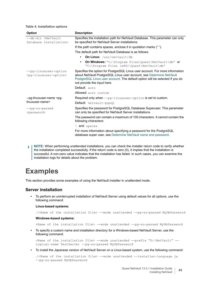#### **Table 4. Installation options**

| <b>Option</b>                                                                                                                 | <b>Description</b>                                                                                                                                                                                                                                                  |
|-------------------------------------------------------------------------------------------------------------------------------|---------------------------------------------------------------------------------------------------------------------------------------------------------------------------------------------------------------------------------------------------------------------|
| --db-dir <netvault<br>Database installation&gt;</netvault<br>                                                                 | Specifies the installation path for NetVault Database. This parameter can only<br>be specified for NetVault Server installations.                                                                                                                                   |
|                                                                                                                               | If the path contains spaces, enclose it in quotation marks ("").                                                                                                                                                                                                    |
|                                                                                                                               | The default path for NetVault Database is as follows:                                                                                                                                                                                                               |
|                                                                                                                               | On Linux: /usr/netvault/db<br>$\bullet$                                                                                                                                                                                                                             |
|                                                                                                                               | On Windows: "C:\Program Files\Quest\NetVault\db" or<br>$\bullet$<br>"C:\Program Files (x86)\Quest\NetVault\db"                                                                                                                                                      |
| --pq-linuxuser-option<br><pg-linuxuser-option></pg-linuxuser-option>                                                          | Specifies the option for PostgreSQL Linux user account. For more information<br>about NetVault PostgreSQL Linux user account, see Determine NetVault<br>PostgreSQL Linux user account. The default option will be selected if you do<br>not provide the input here. |
|                                                                                                                               | Default: auto                                                                                                                                                                                                                                                       |
|                                                                                                                               | Allowed: auto custom                                                                                                                                                                                                                                                |
| --pg-linuxuser-name <pg-< td=""><td>Required only when <math>-\text{pg-linuxuser-option}</math> is set to custom.</td></pg-<> | Required only when $-\text{pg-linuxuser-option}$ is set to custom.                                                                                                                                                                                                  |
| linuxuser-name>                                                                                                               | Default: netvault-pgsgl                                                                                                                                                                                                                                             |
| --pg-su-passwd<br><password></password>                                                                                       | Specifies the password for PostgreSQL Database Superuser. This parameter<br>can only be specified for NetVault Server installations.                                                                                                                                |
|                                                                                                                               | The password can contain a maximum of 100 characters. It cannot contain the<br>following characters:                                                                                                                                                                |
|                                                                                                                               | \ and spaces                                                                                                                                                                                                                                                        |
|                                                                                                                               | For more information about specifying a password for the PostgreSQL<br>database super user, see Determine NetVault name and password.                                                                                                                               |

**NOTE:** When performing unattended installations, you can check the installer return code to verify whether ÷ the installation completed successfully. If the return code is zero (0), it implies that the installation is successful. A non-zero value indicates that the installation has failed. In such cases, you can examine the installation logs for details about the problem.

### <span id="page-42-0"></span>**Examples**

This section provides some examples of using the NetVault installer in unattended mode.

#### **Server installation**

**•** To perform an uninterrupted installation of NetVault Server using default values for all options, use the following command:

#### **Linux-based systems:**

./<Name of the installation file> --mode unattended --pg-su-passwd MyDbPassword

#### **Windows-based systems:**

<Name of the installation file> --mode unattended --pg-su-passwd MyDbPassword

**•** To specify a custom name and installation directory for a Windows-based NetVault Server, use the following command:

<Name of the installation file> --mode unattended --prefix "D:\NetVault" - logical-name TestServer --pg-su-passwd MyDbPassword

**•** To install the Japanese version of NetVault Server on a Linux-based system, use the following command:

./<Name of the installation file> --mode unattended --installer-language ja --pg-su-passwd MyDbPassword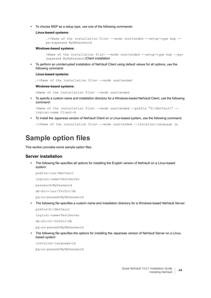**•** To choose MSP as a setup type, use one of the following commands:

#### **Linux-based systems:**

```
./<Name of the installation file> --mode unattended --setup-type msp --
pg-supasswd MyDbPassword
```
#### **Windows-based systems:**

```
<Name of the installation file> --mode unattended --setup-type msp --pg-
supasswd MyDbPasswordClient installation
```
**•** To perform an uninterrupted installation of NetVault Client using default values for all options, use the following command:

#### **Linux-based systems:**

./<Name of the installation file> --mode unattended

#### **Windows-based systems:**

<Name of the installation file> --mode unattended

**•** To specify a custom name and installation directory for a Windows-based NetVault Client, use the following command:

```
<Name of the installation file> --mode unattended --prefix "D:\NetVault" --
logical-name Client-A
```
**•** To install the Japanese version of NetVault Client on a Linux-based system, use the following command:

./<Name of the installation file> --mode unattended --installer-language ja

## <span id="page-43-0"></span>**Sample option files**

This section provides some sample option files.

#### **Server installation**

**•** The following file specifies all options for installing the English version of NetVault on a Linux-based system:

```
prefix=/usr/NetVault
logical-name=TestServer
password=MyPassword
db-dir=/usr/TstDir/Db
```
- pg-su-passwd=MyDbPassword
- **•** The following file specifies a custom name and installation directory for a Windows-based NetVault Server:

prefix=D:\NetVault

logical-name=TestServer

db-dir=D:\TstDir\Db

pg-su-passwd=MyDbPassword

**•** The following file specifies the options for installing the Japanese version of NetVault Server on a Linuxbased system:

installer-language=ja

pg-su-passwd=MyDbPassword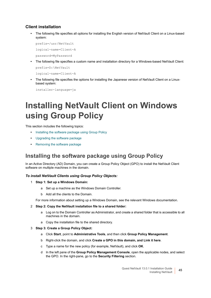#### **Client installation**

**•** The following file specifies all options for installing the English version of NetVault Client on a Linux-based system:

prefix=/usr/NetVault logical-name=Client-A

password=MyPassword

**•** The following file specifies a custom name and installation directory for a Windows-based NetVault Client:

prefix=D:\NetVault

logical-name=Client-A

**•** The following file specifies the options for installing the Japanese version of NetVault Client on a Linuxbased system:

installer-language=ja

## <span id="page-44-0"></span>**Installing NetVault Client on Windows using Group Policy**

This section includes the following topics:

- **•** [Installing the software package using Group Policy](#page-44-1)
- **•** [Upgrading the software package](#page-45-0)
- **•** Removing the software package

### <span id="page-44-1"></span>**Installing the software package using Group Policy**

In an Active Directory (AD) Domain, you can create a Group Policy Object (GPO) to install the NetVault Client software on multiple machines in the domain.

#### *To install NetVault Clients using Group Policy Objects:*

- 1 **Step 1: Set up a Windows Domain:**
	- a Set up a machine as the Windows Domain Controller.
	- b Add all the clients to the Domain.

For more information about setting up a Windows Domain, see the relevant Windows documentation.

#### 2 **Step 2: Copy the NetVault installation file to a shared folder:**

- a Log on to the Domain Controller as Administrator, and create a shared folder that is accessible to all machines in the domain.
- a Copy the installation file to the shared directory.
- 3 **Step 3: Create a Group Policy Object:**
	- a Click **Start**, point to **Administrative Tools**, and then click **Group Policy Management**.
	- b Right-click the domain, and click **Create a GPO in this domain, and Link it here**.
	- c Type a name for the new policy (for example, NetVault), and click **OK**.
	- d In the left pane of the **Group Policy Management Console**, open the applicable nodes, and select the GPO. In the right-pane, go to the **Security Filtering** section.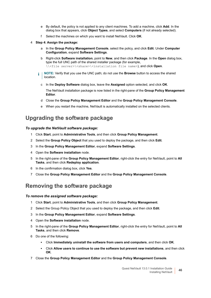- e By default, the policy is not applied to any client machines. To add a machine, click **Add**. In the dialog box that appears, click **Object Types**, and select **Computers** (if not already selected).
- f Select the machines on which you want to install NetVault. Click **OK**.
- 4 **Step 4: Assign the package:**
	- a In the **Group Policy Management Console**, select the policy, and click **Edit**. Under **Computer Configuration**, expand **Software Settings**.
	- b Right-click **Software installation**, point to **New**, and then click **Package**. In the **Open** dialog box, type the full UNC path of the shared installer package (for example, \\<file server>\<share>\<installation file name>), and click Open.
	- **NOTE:** Verify that you use the UNC path; do not use the **Browse** button to access the shared location.
		- c In the **Deploy Software** dialog box, leave the **Assigned** option selected, and click **OK**.

The NetVault installation package is now listed in the right-pane of the **Group Policy Management Editor**.

- d Close the **Group Policy Management Editor** and the **Group Policy Management Console**.
- e When you restart the machine, NetVault is automatically installed on the selected clients.

### <span id="page-45-0"></span>**Upgrading the software package**

#### *To upgrade the NetVault software package:*

- 1 Click **Start**, point to **Administrative Tools**, and then click **Group Policy Management**.
- 2 Select the **Group Policy Object** that you used to deploy the package, and then click **Edit**.
- 3 In the **Group Policy Management Editor**, expand **Software Settings**.
- 4 Open the **Software installation** node.
- 5 In the right-pane of the **Group Policy Management Editor**, right-click the entry for NetVault, point to **All Tasks**, and then click **Redeploy application**.
- 6 In the confirmation dialog box, click **Yes**.
- 7 Close the **Group Policy Management Editor** and the **Group Policy Management Console**.

### **Removing the software package**

#### *To remove the assigned software package:*

- 1 Click **Start**, point to **Administrative Tools**, and then click **Group Policy Management**.
- 2 Select the Group Policy Object that you used to deploy the package, and then click **Edit**.
- 3 In the **Group Policy Management Editor**, expand **Software Settings**.
- 4 Open the **Software installation** node.
- 5 In the right-pane of the **Group Policy Management Editor**, right-click the entry for NetVault, point to **All Tasks**, and then click **Remove**.
- 6 Do one of the following:
	- **▪** Click **Immediately uninstall the software from users and computers**, and then click **OK**.
	- **▪** Click **Allow users to continue to use the software but prevent new installations**, and then click **OK**.
- 7 Close the **Group Policy Management Editor** and the **Group Policy Management Console**.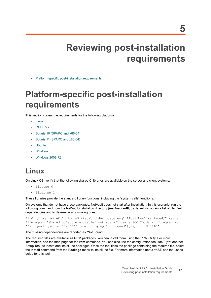# **Reviewing post-installation requirements**

<span id="page-46-0"></span>**•** [Platform-specific post-installation requirements](#page-46-1)

# <span id="page-46-1"></span>**Platform-specific post-installation requirements**

This section covers the requirements for the following platforms:

- **•** [Linux](#page-46-2)
- **•** [RHEL 5.x](#page-47-0)
- **•** [Solaris 10 \(SPARC and x86-64\)](#page-47-1)
- **•** [Solaris 11 \(SPARC and x86-64\)](#page-48-0)
- **•** [Ubuntu](#page-49-0)
- **•** [Windows](#page-49-1)
- **•** [Windows 2008 R2](#page-49-2)

## <span id="page-46-2"></span>**Linux**

On Linux OS, verify that the following shared C libraries are available on the server and client systems:

- **•** libc.so.6
- **•** libdl.so.2

These libraries provide the standard library functions, including the "system calls" functions.

On systems that do not have these packages, NetVault does not start after installation. In this scenario, run the following command from the NetVault installation directory (**/usr/netvault/**, by default) to obtain a list of NetVault dependencies and to determine any missing ones.

```
find ./|grep -v -E "pgAdmin3|stackbuilder|postgresql|lib/libssl|replaced/"|xargs 
file|egrep 'shared object|executable'|cut -d: -f1|xargs ldd 2>/dev/null|egrep -v 
'^\.'|perl -pe 's/ *\(.*$//'|sort -u|grep "not found"|grep -v -E "PIC"
```
The missing dependencies are reported as "Not Found."

The required files are available as RPM packages. You can install them using the RPM utility. For more information, see the man page for the **rpm** command. You can also use the configuration tool YaST (Yet another Setup Tool) to locate and install the packages. Once the tool finds the package containing the required file, select the **Install** command from the **Package** menu to install the file. For more information about YaST, see the user's guide for this tool.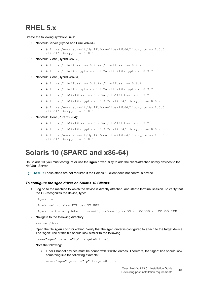## <span id="page-47-0"></span>**RHEL 5.x**

Create the following symbolic links:

- **•** NetVault Server (Hybrid and Pure x86-64):
	- **▪** # ln -s /usr/netvault/dynlib/oca-libs/lib64/libcrypto.so.1.0.0 /lib64/libcrypto.so.1.0.0
- **•** NetVault Client (Hybrid x86-32):
	- **▪** # ln -s /lib/libssl.so.0.9.7a /lib/libssl.so.0.9.7
	- **▪** # ln -s /lib/libcrypto.so.0.9.7a /lib/libcrypto.so.0.9.7
- **•** NetVault Client (Hybrid x86-64):
	- **▪** # ln -s /lib/libssl.so.0.9.7a /lib/libssl.so.0.9.7
	- **▪** # ln -s /lib/libcrypto.so.0.9.7a /lib/libcrypto.so.0.9.7
	- **▪** # ln -s /lib64/libssl.so.0.9.7a /lib64/libssl.so.0.9.7
	- **▪** # ln -s /lib64/libcrypto.so.0.9.7a /lib64/libcrypto.so.0.9.7
	- **▪** # ln -s /usr/netvault/dynlib/oca-libs/lib64/libcrypto.so.1.0.0 /lib64/libcrypto.so.1.0.0
- **•** NetVault Client (Pure x86-64):
	- **▪** # ln -s /lib64/libssl.so.0.9.7a /lib64/libssl.so.0.9.7
	- **▪** # ln -s /lib64/libcrypto.so.0.9.7a /lib64/libcrypto.so.0.9.7
	- **▪** # ln -s /usr/netvault/dynlib/oca-libs/lib64/libcrypto.so.1.0.0 /lib64/libcrypto.so.1.0.0

### <span id="page-47-1"></span>**Solaris 10 (SPARC and x86-64)**

On Solaris 10, you must configure or use the **sgen** driver utility to add the client-attached library devices to the NetVault Server.

**i** | NOTE: These steps are not required if the Solaris 10 client does not control a device.

#### *To configure the sgen driver on Solaris 10 Clients:*

1 Log on to the machine to which the device is directly attached, and start a terminal session. To verify that the OS recognizes the device, type:

```
cfgadm -al
cfgadm -al -o show FCP dev XX:WWN
```
cfgadm -o force update -c unconfigure/configure XX or XX:WWN or XX:WWN:LUN

2 Navigate to the following directory:

/kernel/drv/

3 Open the file **sgen.conf** for editing. Verify that the sgen driver is configured to attach to the target device. The "sgen" line of this file should look similar to the following:

name="sgen" parent="fp" target=0 lun=0;

Note the following:

**▪** Fiber Channel devices must be bound with "WWN" entries. Therefore, the "sgen" line should look something like the following example:

```
name="sgen" parent="fp" target=0 lun=0
```
Quest NetVault 13.0.1 Installation Guide Reviewing post-installation requirements **<sup>48</sup>**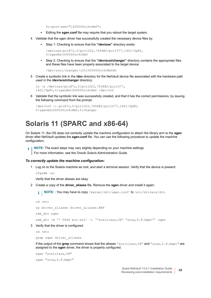fc-port-wwn="1000000cc4c8m0";

- **▪** Editing the **sgen.conf** file may require that you reboot the target system.
- 4 Validate that the sgen driver has successfully created the necessary device files by:
	- **▪** Step 1: Checking to ensure that the **"/devices"** directory exists:

```
/devices/pci@7c,0/pci1022,7458@2/pci1077,1401/fp@0, 
0/sgen@w1000000cc4c8m0
```
**▪** Step 2: Checking to ensure that the **"/dev/scsi/changer"** directory contains the appropriate files and these files have been properly associated to the target device:

/dev/scsi/changer/c2t1000000cc4c8m0d0

5 Create a symbolic link in the **/dev** directory for the NetVault device file associated with the hardware path used in the **/dev/scsi/changer** directory:

```
ln -s /devices/pci@7c,0/pci1022,7458@2/pci1077, 
1401/fp@0,0/sgen@w1000000cc4c8m0 /dev/nv0
```
6 Validate that the symbolic link was successfully created, and that it has the correct permissions, by issuing the following command from the prompt:

```
/dev/nv0 -> pci@7c,0/pci1022,7458@2/pci1077,1401/fp@0, 
0/sgen@w1000000cc4c8m0,0:changer
```
### <span id="page-48-0"></span>**Solaris 11 (SPARC and x86-64)**

On Solaris 11, the OS does not correctly update the machine configuration to attach the library arm to the **sgen** driver after NetVault updates the **sgen.conf** file. You can use the following procedure to update the machine configuration.

**NOTE:** The exact steps may vary slightly depending on your machine settings.  $\mathbf{i}$ For more information, see the *Oracle Solaris Administration Guide*.

#### *To correctly update the machine configuration:*

1 Log on to the Solaris machine as root, and start a terminal session. Verify that the device is present: cfgadm -al

Verify that the driver aliases are okay.

2 Create a copy of the **driver\_aliases** file. Remove the **sgen** driver and install it again:

**NOTE:** : You may have to copy /kernel/drv/sgen.conf to /etc/drivers/drv. $\blacksquare$ 

```
cd /etc
cp driver aliases driver aliases.BKP
rem_drv sgen
add drv -m '* 0666 bin bin' -i '"scsiclass,08" "scsa,0.8.bmpt"' sgen
```
3 Verify that the driver is configured:

cd /etc

grep sgen driver\_aliases

If the output of the **grep** command shows that the aliases "scsiclass,08" and "scsa,0.8.bmpt" are assigned to the **sgen** driver, the driver is properly configured.

sgen "scsiclass,08" sgen "scsa,0.8.bmpt"

> Quest NetVault 13.0.1 Installation Guide Reviewing post-installation requirements **<sup>49</sup>**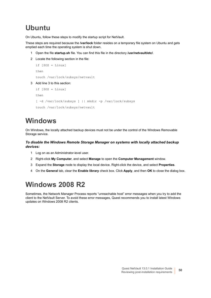## <span id="page-49-0"></span>**Ubuntu**

On Ubuntu, follow these steps to modify the startup script for NetVault.

These steps are required because the **/var/lock** folder resides on a temporary file system on Ubuntu and gets emptied each time the operating system is shut down.

- 1 Open the file **startup.sh** file. You can find this file in the directory **/usr/netvault/etc/**.
- 2 Locate the following section in the file:

```
if [50S = Linux]then
touch /var/lock/subsys/netvault
```
3 Add line 3 to this section:

```
if [$OS = Linux]
then
[ -d /var/lock/subsys ] || mkdir -p /var/lock/subsys
touch /var/lock/subsys/netvault
```
### <span id="page-49-1"></span>**Windows**

On Windows, the locally attached backup devices must not be under the control of the Windows Removable Storage service.

#### *To disable the Windows Remote Storage Manager on systems with locally attached backup devices:*

- 1 Log on as an Administrator-level user.
- 2 Right-click **My Computer**, and select **Manage** to open the **Computer Management** window.
- 3 Expand the **Storage** node to display the local device. Right-click the device, and select **Properties**.
- 4 On the **General** tab, clear the **Enable library** check box. Click **Apply**, and then **OK** to close the dialog box.

## <span id="page-49-2"></span>**Windows 2008 R2**

Sometimes, the Network Manager Process reports "unreachable host" error messages when you try to add the client to the NetVault Server. To avoid these error messages, Quest recommends you to install latest Windows updates on Windows 2008 R2 clients.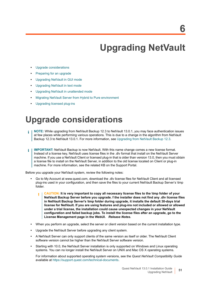# **Upgrading NetVault**

- <span id="page-50-0"></span>**•** [Upgrade considerations](#page-50-1)
- **•** [Preparing for an upgrade](#page-52-0)
- **•** [Upgrading NetVault in GUI mode](#page-52-1)
- **•** [Upgrading NetVault in text mode](#page-53-0)
- **•** [Upgrading NetVault in unattended mode](#page-54-0)
- **•** [Migrating NetVault Server from Hybrid to Pure environment](#page-54-1)
- **•** [Upgrading licensed plug-ins](#page-60-0)

## <span id="page-50-1"></span>**Upgrade considerations**

- **NOTE:** While upgrading from NetVault Backup 12.3 to NetVault 13.0.1, you may face authentication issues at few places while performing various operations. This is due to a change in the algorithm from NetVault Backup 12.3 to NetVault 13.0.1. For more information, see [Upgrading from NetVault Backup 12.3.](#page-51-0)
- **IMPORTANT:** [NetVault Backup is now NetVault. With this name change comes a new license format.](https://support.quest.com)  ÷ Instead of a license key, NetVault uses license files in the .dlv format that install on the NetVault Server [machine. If you use a NetVault Client or licensed plug-in that is older than version 13.0, then you must obtain](https://support.quest.com)  a license file to install on the NetVault Server, in addition to the old license located on Client or plug-in machine. For more information, see the related KB on the Support Portal.

Before you upgrade your NetVault system, review the following notes:

- **•** Go to My Account at www.quest.com, download the .dlv license files for NetVault Client and all licensed [plug-ins used in your configuration, and then save the files to your current NetVault Backup Server's \tmp](http://www.quest.com)  folder.
	- **CAUTION: It is very important to copy all necessary license files to the \tmp folder of your**  п **NetVault Backup Server before you upgrade. f the installer does not find any .dlv license files in NetVault Backup Server's \tmp folder during upgrade, it installs the default 30-days trial license for NetVault. If you are using features and plug-ins not included or allowed or allowed under a trial license, the installation could cause unexpected changes in your NetVault configuration and failed backup jobs. To install the license files after an upgrade, go to the License Management page in the WebUI.** *Release Notes.*
- **•** When you perform an upgrade, select the server or client version based on the current installation type.
- **•** Upgrade the NetVault Server before upgrading any client system.
- **•** A NetVault Server can only support clients of the same version as itself or older. The NetVault Client software version cannot be higher than the NetVault Server software version.
- **•** Starting with 10.0, the NetVault Server installation is only supported on Windows and Linux operating systems. You can no longer install the NetVault Server on UNIX and Mac OS X operating systems.

For information about supported operating system versions, see the *Quest NetVault Compatibility Guide* available at [https://support.quest.com/technical-documents.](https://support.quest.com/technical-documents)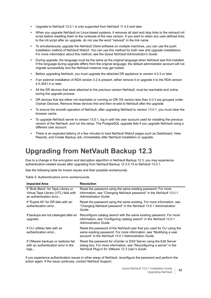- **•** Upgrade to NetVault 13.0.1 is only supported from NetVault 11.4.5 and later.
- **•** When you upgrade NetVault on Linux-based systems, it removes all start and stop links to the netvault init script before resetting them to the runlevels of the new version. If you want to retain any user-defined links to the init script after an upgrade, do not use the word "netvault" in the link name.
- **•** To simultaneously upgrade the NetVault Client software on multiple machines, you can use the push installation method of NetVault WebUI. You can use this method for both new and upgrade installations. For more information about this method, see the *Quest NetVault Administrator's Guide*.
- **•** During upgrade, the language must be the same as the original language when NetVault was first installed. If the language during upgrade differs from the original language, the default administrator account will not migrate successfully and the NetVault instance may get locked.
- **•** Before upgrading NetVault, you must upgrade the attached DR appliance to version 4.0.3 or later.
- **•** If an external installation of RDA version 3.2 is present, either remove it or upgrade it to the RDA version 4.0.3041.0 or later.
- **•** All the DR devices that were attached to the previous version NetVault, must be reachable and online during the upgrade process.
- **•** DR devices that are either not reachable or running on DR OS version less than 4.0.3 are grouped under Orphan Devices. Remove these devices first and then re-add to NetVault after the upgrade.
- **•** To ensure the smooth operation of NetVault, after upgrading NetVault to version 13.0.1, you must clear the browser cache.
- **•** To upgrade NetVault server to version 13.0.1, log in with the user account used for installing the previous version of the NetVault, and run the setup. The PostgreSQL upgrade fails if you upgrade NetVault using a different user account.
- **•** There is an expected latency of a few minutes to load NetVault WebUI pages such as Dashboard, View Reports, and Create Backup Job, immediately after NetVault installation or upgrade.

## <span id="page-51-0"></span>**Upgrading from NetVault Backup 12.3**

Due to a change in the encryption and decryption algorithm in NetVault Backup 12.3, you may experience authentication-related issues after upgrading from NetVault Backup 12.3.0.15 to NetVault 13.0.1.

See the following table for known issues and their possible workarounds.

**Table 5. Authentication error workarounds**

| <b>Impacted Area</b>                                                                                    | <b>Resolution</b>                                                                                                                                                                                       |
|---------------------------------------------------------------------------------------------------------|---------------------------------------------------------------------------------------------------------------------------------------------------------------------------------------------------------|
| If "Bulk Blank" for Tape Library or<br>Virtual Tape Library (VTL) fails with<br>an authentication error | Reset the password using the same existing password. For more<br>information, see "Changing NetVault password" in the NetVault 13.0.1<br>Administration Guide.                                          |
| If "Expire All" for DR fails with an<br>authentication error                                            | Reset the password using the same existing. For more information, see<br>"Changing NetVault password" in the NetVault 13.0.1 Administration<br>Guide.                                                   |
| If backups are not cataloged after an<br>upgrade                                                        | Reconfigure catalog search with the same existing password. For more<br>information, see "Configuring catalog search" in the NetVault 13.0.1<br>Administration Guide.                                   |
| If CI Lutilities fails with an<br>authentication error                                                  | Reset the password of the NetVault user that you used for CLI using the<br>same existing password. For more information, see "Modifying a user<br>account" in the NetVault 13.0.1 Administration Guide. |
| If VMware backups or restores fail<br>with an authentication error in the<br>log s                      | Reset the password for vCenter or ESX Server using the Edit Server<br>dialog box. For more information, see "Reconfiguring a server" in the<br>NetVault Plug-in for VMware 12.3 User's Guide.           |

If you experience authentication issues in other areas of NetVault, reconfigure the password and perform the action again. If the issue continues, contact NetVault Support.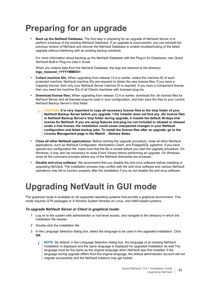# <span id="page-52-0"></span>**Preparing for an upgrade**

**• Back up the NetVault Database:** The first step in preparing for an upgrade of NetVault Server is to perform a backup of the existing NetVault Database. If an upgrade is unsuccessful, you can reinstall the previous version of NetVault and recover the NetVault Database to enable troubleshooting of the failed upgrade without interfering with an existing backup schedule.

For more information about backing up the NetVault Database with the Plug-in *for Databases*, see *Quest NetVault Built-in Plug-ins User's Guide*.

When you restore data from the NetVault Database, the logs are restored to the directory **logs\_restored\_<YYYYMMDD>**.

- **Collect machine IDs:** When upgrading from release 12.4 or earlier, collect the machine ID of each protected machine. NetVault machine IDs are required to obtain the new license files. If you have a Capacity license, then only your NetVault Server machine ID is required. If you have a Component license, then you need the machine IDs of all Clients machines with licensed plug-ins.
- **Download license files:** When upgrading from release 12.4 or earlier, download the .dlv license files for NetVault Server and all licensed plug-ins used in your configuration, and then save the files to your current NetVault Backup Server's \tmp folder.
	- **CAUTION: It is very important to copy all necessary license files to the \tmp folder of your**  ï **NetVault Backup Server before you upgrade. f the installer does not find any .dlv license files in NetVault Backup Server's \tmp folder during upgrade, it installs the default 30-days trial license for NetVault. If you are using features and plug-ins not included or allowed or allowed under a trial license, the installation could cause unexpected changes in your NetVault configuration and failed backup jobs. To install the license files after an upgrade, go to the License Management page in the WebUI.** *Release Notes.*
- **Close all other NetVault applications:** Before starting the upgrade procedure, close all other NetVault applications, such as NetVault Configurator, Workstation Client, and PostgreSQL pgAdmin. If you have opened any configuration file, make sure that the file is closed before you start the upgrade procedure. On Windows, it may also be necessary to close Event Viewer before performing an upgrade. On Windows, close all the command prompts where any of the NetVault directories are browsed.
- **Disable anti-virus software**: We recommend that you disable the anti-virus software before installing or upgrading NetVault. The installation process may conflict with the anti-virus software and various NetVault operations may fail to function properly after the installation if you do not disable the anti-virus software.

# <span id="page-52-1"></span>**Upgrading NetVault in GUI mode**

The graphical mode is available on all supported operating systems that provide a graphical environment. This mode requires GTK packages or X Window System libraries on Linux- and UNIX-based systems.

#### *To upgrade NetVault Server or Client in graphical mode:*

- 1 Log on to the system with administrator or root-level access, and navigate to the directory in which the installation file resides.
- 2 Double-click the installation file.
- 3 In the Language Selection dialog box, select the language to be used in the upgraded installation. Click **OK**.
	- **NOTE:** By default, in the Language Selection dialog box, the language of an existing NetVault f. installation is displayed and the same language is displayed for upgraded installation as well.The language must be the same as the original language when NetVault was first installed. If the language during upgrade differs from the original language, the default administrator account will not migrate successfully and the NetVault instance may get locked.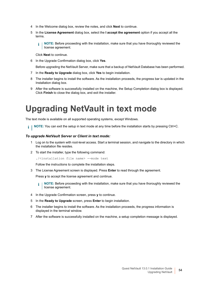- 4 In the Welcome dialog box, review the notes, and click **Next** to continue.
- 5 In the **License Agreement** dialog box, select the **I accept the agreement** option if you accept all the terms.
	- **NOTE:** Before proceeding with the installation, make sure that you have thoroughly reviewed the f. license agreement.

Click **Next** to continue.

6 In the Upgrade Confirmation dialog box, click **Yes**.

Before upgrading the NetVault Server, make sure that a backup of NetVault Database has been performed.

- 7 In the **Ready to Upgrade** dialog box, click **Yes** to begin installation.
- 8 The installer begins to install the software. As the installation proceeds, the progress bar is updated in the Installation dialog box.
- 9 After the software is successfully installed on the machine, the Setup Completion dialog box is displayed. Click **Finish** to close the dialog box, and exit the installer.

## <span id="page-53-0"></span>**Upgrading NetVault in text mode**

The text mode is available on all supported operating systems, except Windows.

**NOTE:** You can exit the setup in text mode at any time before the installation starts by pressing Ctrl+C.  $\mathbf{i}$ 

#### *To upgrade NetVault Server or Client in text mode:*

- 1 Log on to the system with root-level access. Start a terminal session, and navigate to the directory in which the installation file resides.
- 2 To start the installer, type the following command:

./<installation file name> --mode text

Follow the instructions to complete the installation steps.

3 The License Agreement screen is displayed. Press **Enter** to read through the agreement.

Press **y** to accept the license agreement and continue.

- **NOTE:** Before proceeding with the installation, make sure that you have thoroughly reviewed the i I license agreement.
- 4 In the Upgrade Confirmation screen, press **y** to continue.
- 5 In the **Ready to Upgrade** screen, press **Enter** to begin installation.
- 6 The installer begins to install the software. As the installation proceeds, the progress information is displayed in the terminal window.
- 7 After the software is successfully installed on the machine, a setup completion message is displayed.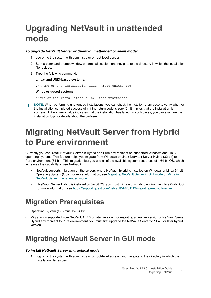# <span id="page-54-0"></span>**Upgrading NetVault in unattended mode**

#### *To upgrade NetVault Server or Client in unattended or silent mode:*

- 1 Log on to the system with administrator or root-level access.
- 2 Start a command prompt window or terminal session, and navigate to the directory in which the installation file resides.
- 3 Type the following command:

#### **Linux- and UNIX-based systems:**

./<Name of the installation file> -mode unattended

#### **Windows-based systems:**

<Name of the installation file> -mode unattended

**NOTE:** When performing unattended installations, you can check the installer return code to verify whether the installation completed successfully. If the return code is zero (0), it implies that the installation is successful. A non-zero value indicates that the installation has failed. In such cases, you can examine the installation logs for details about the problem.

## <span id="page-54-1"></span>**Migrating NetVault Server from Hybrid to Pure environment**

Currently you can install NetVault Server in Hybrid and Pure environment on supported Windows and Linux operating systems. This feature helps you migrate from Windows or Linux NetVault Server Hybrid (32-bit) to a Pure environment (64-bit). This migration lets you use all of the available system resources of a 64-bit OS, which increases the capability to use NetVault.

- **•** NetVault supports migration on the servers where NetVault hybrid is installed on Windows or Linux 64-bit Operating System (OS). For more information, see [Migrating NetVault Server in GUI mode](#page-54-3) or [Migrating](#page-57-0)  [NetVault Server in unattended mode](#page-57-0).
- **•** If NetVault Server Hybrid is installed on 32-bit OS, you must migrate this hybrid environment to a 64-bit OS. For more information, see https://support.quest.com/netvault/kb/261119/migrating-netvault-server.

### <span id="page-54-2"></span>**Migration Prerequisites**

- **•** Operating System (OS) must be 64 bit.
- **•** Migration is supported from NetVault 11.4.5 or later version. For migrating an earlier version of NetVault Server Hybrid environment to Pure environment, you must first upgrade the NetVault Server to 11.4.5 or later hybrid version.

### <span id="page-54-3"></span>**Migrating NetVault Server in GUI mode**

#### *To install NetVault Server in graphical mode:*

1 Log on to the system with administrator or root-level access, and navigate to the directory in which the installation file resides.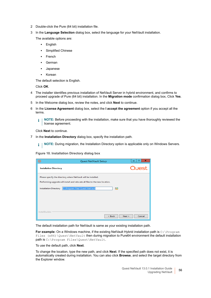- 2 Double-click the Pure (64 bit) installation file.
- 3 In the **Language Selection** dialog box, select the language for your NetVault installation.

The available options are:

- **▪** English
- **▪** Simplified Chinese
- **▪** French
- **▪** German
- **▪** Japanese
- **▪** Korean

The default selection is English.

Click **OK**.

- 4 The installer identifies previous installation of NetVault Server in hybrid environment, and confirms to proceed upgrade of Pure (64 bit) installation. In the **Migration mode** confirmation dialog box, Click **Yes**.
- 5 In the Welcome dialog box, review the notes, and click **Next** to continue.
- 6 In the **License Agreement** dialog box, select the **I accept the agreement** option if you accept all the terms.

**NOTE:** Before proceeding with the installation, make sure that you have thoroughly reviewed the î. license agreement.

Click **Next** to continue.

7 In the **Installation Directory** dialog box, specify the installation path.

**NOTE:** During migration, the Installation Directory option is applicable only on Windows Servers. i I

**Figure 10. Installation Directory dialog box**

| $\circ$                                                                                                                                       | ×<br>Е<br><b>Quest NetVault Setup</b> |
|-----------------------------------------------------------------------------------------------------------------------------------------------|---------------------------------------|
| <b>Installation Directory</b>                                                                                                                 | Quest                                 |
| Please specify the directory where NetVault will be installed.<br>Performing upgrade will install and relocate all files to the new location. |                                       |
| Installation Directory   CAProgram Files\Quest\NetVault                                                                                       | ro                                    |
|                                                                                                                                               |                                       |
| InstallBuilder                                                                                                                                | Cancel<br>$<$ Back<br>Next >          |

The default installation path for NetVault is same as your existing installation path.

For example: On a Windows machine, if the existing NetVault Hybrid installation path is C:\Program Files (x86)\Quest\NetVault then during migration to Pure64 environment the default installation path is C:\Program Files\Quest\NetVault.

To use the default path, click **Next**.

To change the location, type the new path, and click **Next**. If the specified path does not exist, it is automatically created during installation. You can also click **Browse**, and select the target directory from the Explorer window.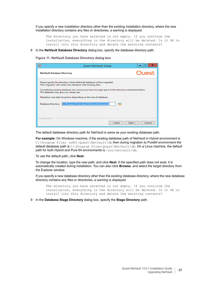If you specify a new installation directory other than the existing installation directory, where the new installation directory contains any files or directories, a warning is displayed:

The directory you have selected is not empty. If you continue the installation, everything in the directory will be deleted. Is it OK to install into this directory and delete the existing contents?

#### 8 In the **NetVault Database Directory** dialog box, specify the database directory path.

**Figure 11. NetVault Database Directory dialog box**

| ⊙                                                                                                                                                                                                                                                                                                                                                                              | <b>Quest NetVault Setup</b>               | ×<br>Е                       |
|--------------------------------------------------------------------------------------------------------------------------------------------------------------------------------------------------------------------------------------------------------------------------------------------------------------------------------------------------------------------------------|-------------------------------------------|------------------------------|
| <b>NetVault Database Directory</b>                                                                                                                                                                                                                                                                                                                                             |                                           | Quest                        |
| Please specify the directory where NetVault database will be migrated.<br>This migration will create new database with existing data.<br>Considering existing database size, ensure you have enough space in the directory mentioned below.<br>The database may grow to a large size.<br>Migration may take long time depending on the size of database.<br>Database Directory | C:\Program Files\Quest\NetVault Backup\db | <u>ro</u>                    |
| InstallBuilder                                                                                                                                                                                                                                                                                                                                                                 |                                           | $<$ Back<br>Next ><br>Cancel |

The default database directory path for NetVault is same as your existing database path.

**For example:** On Windows machine, if the existing database path of NetVault in Hybrid environment is C:\Program Files (x86)\Quest\NetVault\db then during migration to Pure64 environment the default database path is C:\Program Files\Quest\NetVault\db. On a Linux machine, the default path for both Hybrid and Pure 64 environments is /usr/netvault/db.

To use the default path, click **Next**.

To change the location, type the new path, and click **Next**. If the specified path does not exist, it is automatically created during installation. You can also click **Browse**, and select the target directory from the Explorer window.

If you specify a new database directory other than the existing database directory, where the new database directory contains any files or directories, a warning is displayed:

The directory you have selected is not empty. If you continue the installation, everything in the directory will be deleted. Is it OK to install into this directory and delete the existing contents?

9 In the **Database Stage Directory** dialog box, specify the **Stage Directory** path.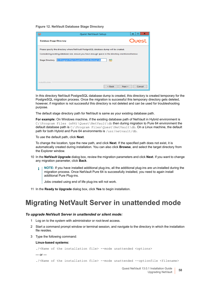**Figure 12. NetVault Database Stage Directory**

| $\circ$                                                                                                                                                                                                               | <b>Quest NetVault Setup</b>                     | ×<br>о           |
|-----------------------------------------------------------------------------------------------------------------------------------------------------------------------------------------------------------------------|-------------------------------------------------|------------------|
| <b>Database Stage Directory</b>                                                                                                                                                                                       |                                                 | Quest            |
| Please specify the directory where NetVault PostgreSQL database dump will be created.<br>Considering existing database size, ensure you have enough space in the directory mentioned below:<br><b>Stage Directory</b> | C:\Program Files\Quest\NetVault Backup\db<br>гQ |                  |
| InstallBuilder                                                                                                                                                                                                        | $<$ Back                                        | Next ><br>Cancel |

In this directory NetVault PostgreSQL database dump is created, this directory is created temporary for the PostgreSQL migration process. Once the migration is successful this temporary directory gets deleted. however, if migration is not successful this directory is not deleted and can be used for troubleshooting purpose.

The default stage directory path for NetVault is same as your existing database path.

**For example:** On Windows machine, if the existing database path of NetVault in Hybrid environment is C:\Program Files (x86)\Quest\NetVault\db then during migration to Pure 64 environment the default database path is  $C:\P$ rogram Files\Quest\NetVault\db. On a Linux machine, the default path for both Hybrid and Pure 64 environments is /usr/netvault/db.

To use the default path, click **Next**.

To change the location, type the new path, and click **Next**. If the specified path does not exist, it is automatically created during installation. You can also click **Browse**, and select the target directory from the Explorer window.

- 10 In the **NetVault Upgrade** dialog box, review the migration parameters and click **Next**. If you want to change any migration parameter, click **Back**.
	- **NOTE:** If you have installed additional plug-ins, all the additional plug-ins are un-installed during the i migration process. Once NetVault Pure 64 is successfully installed, you need to again install additional Pure Plug-ins.

Jobs created using end of life plug-ins will not work.

11 In the **Ready to Upgrade** dialog box, click **Yes** to begin installation.

### <span id="page-57-0"></span>**Migrating NetVault Server in unattended mode**

#### *To upgrade NetVault Server in unattended or silent mode:*

- 1 Log on to the system with administrator or root-level access.
- 2 Start a command prompt window or terminal session, and navigate to the directory in which the installation file resides.
- 3 Type the following command:

#### **Linux-based systems:**

```
./<Name of the installation file> --mode unattended <options>
- or -./<Name of the installation file> --mode unattended --optionfile <filename>
```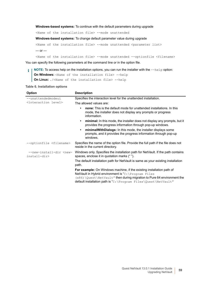**Windows-based systems:** To continue with the default parameters during upgrade

<Name of the installation file> --mode unattended

**Windows-based systems:** To change default parameter value during upgrade

<Name of the installation file> --mode unattended <parameter list>  $-$  or  $-$ 

<Name of the installation file> --mode unattended --optionfile <filename>

You can specify the following parameters at the command line or in the option file.

**NOTE:** To access help on the installation options, you can run the installer with the --help option:  $\mathbf{i}$ **On Windows:** <Name of the installation file> --help **On Linux:** ./<Name of the installation file> --help

**Table 6. Installation options**

| Option                                               | <b>Description</b>                                                                                                                                                                                                                                                                   |
|------------------------------------------------------|--------------------------------------------------------------------------------------------------------------------------------------------------------------------------------------------------------------------------------------------------------------------------------------|
| --unattendedmodeui                                   | Specifies the interaction level for the unattended installation.                                                                                                                                                                                                                     |
| <interaction level=""></interaction>                 | The allowed values are:                                                                                                                                                                                                                                                              |
|                                                      | <b>none:</b> This is the default mode for unattended installations. In this<br>$\bullet$<br>mode, the installer does not display any prompts or progress<br>information.                                                                                                             |
|                                                      | minimal: In this mode, the installer does not display any prompts, but it<br>$\bullet$<br>provides the progress information through pop-up windows.                                                                                                                                  |
|                                                      | minimal With Dialogs: In this mode, the installer displays some<br>$\bullet$<br>prompts, and it provides the progress information through pop-up<br>windows.                                                                                                                         |
| --optionfile <filename></filename>                   | Specifies the name of the option file. Provide the full path if the file does not<br>reside in the current directory.                                                                                                                                                                |
| --new-install-dir <new-<br>install-dir&gt;</new-<br> | Windows only. Specifies the installation path for NetVault. If the path contains<br>spaces, enclose it in quotation marks (" ").                                                                                                                                                     |
|                                                      | The default installation path for NetVault is same as your existing installation<br>path.                                                                                                                                                                                            |
|                                                      | <b>For example:</b> On Windows machine, if the existing installation path of<br>NetVault in Hybrid environment is "C: \Program Files<br>$(x86)$ \Quest \NetVault" then during migration to Pure 64 environment the<br>default installation path is "C:\Program Files\Quest\NetVault" |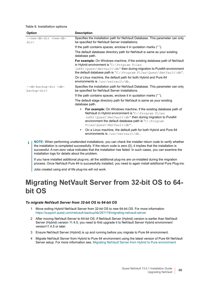**Table 6. Installation options**

| <b>Option</b>                                   | <b>Description</b>                                                                                                                                                                                                                                                                                    |
|-------------------------------------------------|-------------------------------------------------------------------------------------------------------------------------------------------------------------------------------------------------------------------------------------------------------------------------------------------------------|
| --new-db-dir <new-db-<br>div &gt;</new-db-<br>  | Specifies the installation path for NetVault Database. This parameter can only<br>be specified for NetVault Server installations.                                                                                                                                                                     |
|                                                 | If the path contains spaces, enclose it in quotation marks ("").                                                                                                                                                                                                                                      |
|                                                 | The default database directory path for NetVault is same as your existing<br>database path.                                                                                                                                                                                                           |
|                                                 | For example: On Windows machine, if the existing database path of NetVault<br>in Hybrid environment is " $C:\Per\gamma$ Frogram Files                                                                                                                                                                 |
|                                                 | (x86) \Quest\NetVault\db" then during migration to Pure64 environment<br>the default database path is "C: \Program Files\Quest\NetVault\db".                                                                                                                                                          |
|                                                 | On a Linux machine, the default path for both Hybrid and Pure 64<br>environments is /usr/netvault/db.                                                                                                                                                                                                 |
| --db-backup-dir <db-<br>backup-dir&gt;</db-<br> | Specifies the installation path for NetVault Database. This parameter can only<br>be specified for NetVault Server installations.                                                                                                                                                                     |
|                                                 | If the path contains spaces, enclose it in quotation marks ("").                                                                                                                                                                                                                                      |
|                                                 | The default stage directory path for NetVault is same as your existing<br>database path.                                                                                                                                                                                                              |
|                                                 | <b>For example:</b> On Windows machine, if the existing database path of<br>$\bullet$<br>NetVault in Hybrid environment is "C: \Program Files<br>(x86) \Quest \NetVault\db" then during migration to Pure64<br>environment the default database path is " $C:\Per\gamma$<br>Files\Ouest\NetVault\db". |
|                                                 | On a Linux machine, the default path for both Hybrid and Pure 64<br>٠<br>environments is /usr/netvault/db.                                                                                                                                                                                            |
| ÷                                               | NOTE: When performing unattended installations, you can check the installer return code to verify whether                                                                                                                                                                                             |

the installation is completed successfully. If the return code is zero (0), it implies that the installation is successful. A non-zero value indicates that the installation has failed. In such cases, you can examine the installation logs for details about the problem.

If you have installed additional plug-ins, all the additional plug-ins are un-installed during the migration process. Once NetVault Pure 64 is successfully installed, you need to again install additional Pure Plug-ins.

Jobs created using end of life plug-ins will not work.

### <span id="page-59-0"></span>**Migrating NetVault Server from 32-bit OS to 64 bit OS**

#### *To migrate NetVault Server from 32-bit OS to 64-bit OS*

- 1 Move exiting Hybrid NetVault Server from 32-bit OS to new 64-bit OS. For more information https://support.quest.com/netvault-backup/kb/261119/migrating-netvault-server
- 2 After moving NetVault Server to 64-bit OS, if NetVault Server (Hybrid) version is earlier than NetVault Server (Hybrid) version 11.4.5, you need to first upgrade it to NetVault Server Hybrid environment version11.4.5 or later.
- 3 Ensure NetVault Server (Hybrid) is up and running before you migrate to Pure 64 environment.
- 4 Migrate NetVault Server from Hybrid to Pure 64 environment using the latest version of Pure 64 NetVault Server setup. For more information see, [Migrating NetVault Server from Hybrid to Pure environment](#page-54-1)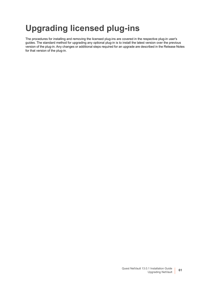# <span id="page-60-0"></span>**Upgrading licensed plug-ins**

The procedures for installing and removing the licensed plug-ins are covered in the respective plug-in user's guides. The standard method for upgrading any optional plug-in is to install the latest version over the previous version of the plug-in. Any changes or additional steps required for an upgrade are described in the Release Notes for that version of the plug-in.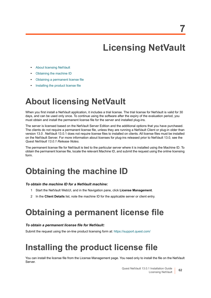# **Licensing NetVault**

- <span id="page-61-0"></span>**•** [About licensing NetVault](#page-61-1)
- **•** [Obtaining the machine ID](#page-61-2)
- **•** [Obtaining a permanent license file](#page-61-3)
- **•** [Installing the product license file](#page-61-4)

## <span id="page-61-1"></span>**About licensing NetVault**

When you first install a NetVault application, it includes a trial license. The trial license for NetVault is valid for 30 days, and can be used only once. To continue using the software after the expiry of the evaluation period, you must obtain and install the permanent license file for the server and installed plug-ins.

The server is licensed based on the NetVault Server Edition and the additional options that you have purchased. The clients do not require a permanent license file, unless they are running a NetVault Client or plug-in older than version 13.0 . NetVault 13.0.1 does not require license files to installed on clients. All license files must be installed on the NetVault Server. For more information about licenses for plug-ins released prior to NetVault 13.0, see the *Quest NetVault 13.0.1 Release Notes.*

The permanent license file for NetVault is tied to the particular server where it is installed using the Machine ID. To obtain the permanent license file, locate the relevant Machine ID, and submit the request using the online licensing form.

## <span id="page-61-2"></span>**Obtaining the machine ID**

#### *To obtain the machine ID for a NetVault machine:*

- 1 Start the NetVault WebUI, and in the Navigation pane, click **License Management**.
- 2 In the **Client Details** list, note the machine ID for the applicable server or client entry.

## <span id="page-61-3"></span>**Obtaining a permanent license file**

#### *To obtain a permanent license file for NetVault:*

Submit the request using the on-line product licensing form at:<https://support.quest.com/>

# <span id="page-61-4"></span>**Installing the product license file**

You can install the license file from the License Management page. You need only to install the file on the NetVault Server.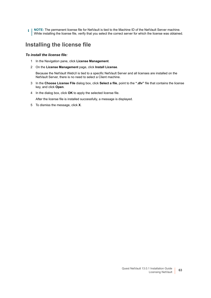**NOTE:** The permanent license file for NetVault is tied to the Machine ID of the NetVault Server machine. f. While installing the license file, verify that you select the correct server for which the license was obtained.

### **Installing the license file**

#### *To install the license file:*

- 1 In the Navigation pane, click **License Management**.
- 2 On the **License Management** page, click **Install License**.

Because the NetVault WebUI is tied to a specific NetVault Server and all licenses are installed on the NetVault Server, there is no need to select a Client machine.

- 3 In the **Choose License File** dialog box, click **Select a file**, point to the **".dlv"** file that contains the license key, and click **Open**.
- 4 In the dialog box, click **OK** to apply the selected license file.

After the license file is installed successfully, a message is displayed.

5 To dismiss the message, click **X**.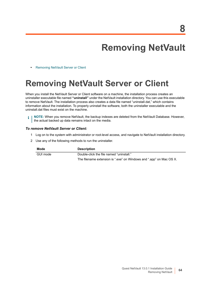# **Removing NetVault**

<span id="page-63-0"></span>**•** [Removing NetVault Server or Client](#page-63-1)

## <span id="page-63-1"></span>**Removing NetVault Server or Client**

When you install the NetVault Server or Client software on a machine, the installation process creates an uninstaller executable file named **"uninstall"** under the NetVault installation directory. You can use this executable to remove NetVault. The installation process also creates a data file named "uninstall.dat," which contains information about the installation. To properly uninstall the software, both the uninstaller executable and the uninstall.dat files must exist on the machine.

**NOTE:** When you remove NetVault, the backup indexes are deleted from the NetVault Database. However, f  $|$  the actual backed up data remains intact on the media.

#### *To remove NetVault Server or Client:*

- 1 Log on to the system with administrator or root-level access, and navigate to NetVault installation directory.
- 2 Use any of the following methods to run the uninstaller.

| Mode     | <b>Description</b>                                                  |
|----------|---------------------------------------------------------------------|
| GUI mode | Double-click the file named "uninstall."                            |
|          | The filename extension is ".exe" on Windows and ".app" on Mac OS X. |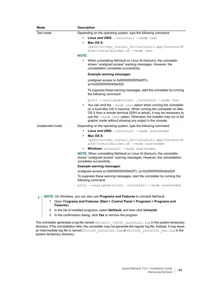| Mode            | <b>Description</b>                                                                                                                                                                                                                                                                                                                             |
|-----------------|------------------------------------------------------------------------------------------------------------------------------------------------------------------------------------------------------------------------------------------------------------------------------------------------------------------------------------------------|
| Text mode       | Depending on the operating system, type the following command:                                                                                                                                                                                                                                                                                 |
|                 | <b>Linux and UNIX:</b> ./uninstall --mode text                                                                                                                                                                                                                                                                                                 |
|                 | Mac OS X:<br>$\bullet$                                                                                                                                                                                                                                                                                                                         |
|                 | /path/to/nvbu install dir/uninstall.app/Contents/M                                                                                                                                                                                                                                                                                             |
|                 | acOS/installbuilder.sh --mode text                                                                                                                                                                                                                                                                                                             |
|                 | <b>NOTE:</b>                                                                                                                                                                                                                                                                                                                                   |
|                 | When uninstalling NetVault on Linux IA (Itanium), the uninstaller<br>shows "unaligned access" warning messages. However, the<br>uninstallation completes successfully.                                                                                                                                                                         |
|                 | <b>Example warning messages:</b>                                                                                                                                                                                                                                                                                                               |
|                 | unaligned access to 0x6000000005642f7c,<br>ip=0x200000004dbe520                                                                                                                                                                                                                                                                                |
|                 | To suppress these warning messages, start the uninstaller by running<br>the following command:                                                                                                                                                                                                                                                 |
|                 | prctl --unaligned=silent ./uninstall --mode text                                                                                                                                                                                                                                                                                               |
|                 | You can omit the --mode text option when running the uninstaller<br>on a local Mac OS X machine. When running the uninstaller on Mac<br>OS X from a remote terminal (SSH or telnet), it may be necessary to<br>use the --mode text option. Otherwise, the installer may run in full<br>graphic mode without showing any output in the console. |
| Unattended mode | Depending on the operating system, type the following command:                                                                                                                                                                                                                                                                                 |
|                 | <b>Linux and UNIX:</b> ./uninstall --mode unattended                                                                                                                                                                                                                                                                                           |
|                 | Mac OS X:                                                                                                                                                                                                                                                                                                                                      |
|                 | /path/to/nvbu install dir/uninstall.app/Contents/M<br>acOS/installbuilder.sh --mode unattended                                                                                                                                                                                                                                                 |
|                 | <b>Windows:</b> uninstall --mode unattended<br>$\bullet$                                                                                                                                                                                                                                                                                       |
|                 | NOTE: When uninstalling NetVault on Linux IA (Itanium), the uninstaller<br>shows "unaligned access" warning messages. However, the uninstallation<br>completes successfully.                                                                                                                                                                   |
|                 | Example warning messages:                                                                                                                                                                                                                                                                                                                      |
|                 | unaligned access to 0x6000000005642f7c, ip=0x2000000004dbe520                                                                                                                                                                                                                                                                                  |
|                 | To suppress these warning messages, start the uninstaller by running the<br>following command:                                                                                                                                                                                                                                                 |
|                 | prctl --unaligned=silent ./uninstall --mode unattended                                                                                                                                                                                                                                                                                         |
|                 |                                                                                                                                                                                                                                                                                                                                                |
| i               | <b>NOTE:</b> On Windows, you can also use <b>Programs and Features</b> to uninstall NetVault:<br><b>DESCRIPTION OF A REAL PROPERTY OF A REAL PROPERTY OF A REAL PROPERTY OF A REAL PROPERTY OF A REAL PROPERTY OF A</b>                                                                                                                        |

- 1 Open P**rograms and Features** (**Start > Control Panel > Programs > Programs and Features**).
- 2 In the list of installed programs, select **NetVault**, and then click **Uninstall**.
- 3 In the confirmation dialog, click **Yes** to remove the program.

The uninstaller generates a log file named  $\texttt{network}$  (GUID)  $\_$ uninstall.log in the system temporary directory. If the uninstallation fails, the uninstaller may not generate the regular log file. Instead, it may leave an intermediate log file is named bitrock installer.log or bitrock\_installer\_nnn.log in the system temporary directory.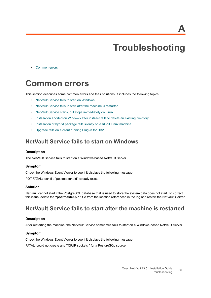**A**

# **Troubleshooting**

<span id="page-65-0"></span>**•** [Common errors](#page-65-1)

## <span id="page-65-1"></span>**Common errors**

This section describes some common errors and their solutions. It includes the following topics:

- **•** [NetVault Service fails to start on Windows](#page-65-2)
- **•** [NetVault Service fails to start after the machine is restarted](#page-65-3)
- **•** [NetVault Service starts, but stops immediately on Linux](#page-66-0)
- **•** [Installation aborted on Windows after installer fails to delete an existing directory](#page-66-1)
- **•** [Installation of hybrid package fails silently on a 64-bit Linux machine](#page-66-2)
- **•** [Upgrade fails on a client running Plug-in for DB2](#page-67-0)

### <span id="page-65-2"></span>**NetVault Service fails to start on Windows**

#### **Description**

The NetVault Service fails to start on a Windows-based NetVault Server.

#### **Symptom**

Check the Windows Event Viewer to see if it displays the following message:

PDT FATAL: lock file "postmaster.pid" already exists

#### **Solution**

NetVault cannot start if the PostgreSQL database that is used to store the system data does not start. To correct this issue, delete the **"postmaster.pid"** file from the location referenced in the log and restart the NetVault Server.

### <span id="page-65-3"></span>**NetVault Service fails to start after the machine is restarted**

#### **Description**

After restarting the machine, the NetVault Service sometimes fails to start on a Windows-based NetVault Server.

#### **Symptom**

Check the Windows Event Viewer to see if it displays the following message:

FATAL: could not create any TCP/IP sockets " for a PostgreSQL source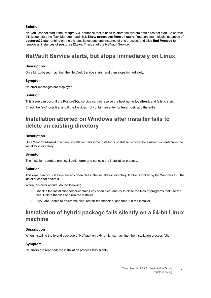#### **Solution**

NetVault cannot start if the PostgreSQL database that is used to store the system data does not start. To correct this issue, start the Task Manager, and click **Show processes from all users**. You can see multiple instances of **postgres32.exe** running on the system. Select any one instance of this process, and click **End Process** to remove all instances of **postgres32.exe**. Then, start the NetVault Service.

### <span id="page-66-0"></span>**NetVault Service starts, but stops immediately on Linux**

#### **Description**

On a Linux-based machine, the NetVault Service starts, and then stops immediately.

#### **Symptom**

No error messages are displayed.

#### **Solution**

This issue can occur if the PostgreSQL service cannot resolve the host name **localhost**, and fails to start. Check the /etc/hosts file, and if the file does not contain an entry for **localhost**, add the entry.

### <span id="page-66-1"></span>**Installation aborted on Windows after installer fails to delete an existing directory**

#### **Description**

On a Windows-based machine, installation fails if the installer is unable to remove the existing contents from the installation directory.

#### **Symptom**

The installer reports a preinstall script error and cancels the installation process.

#### **Solution**

This error can occur if there are any open files in the installation directory. If a file is locked by the Windows OS, the installer cannot delete it.

When this error occurs, do the following:

- **•** Check if the installation folder contains any open files, and try to close the files or programs that use the files. Delete the files and run the installer.
- **•** If you are unable to delete the files, restart the machine, and then run the installer.

### <span id="page-66-2"></span>**Installation of hybrid package fails silently on a 64-bit Linux machine**

#### **Description**

When installing the hybrid package of NetVault on a 64-bit Linux machine, the installation process fails.

#### **Symptom**

No errors are reported; the installation process fails silently.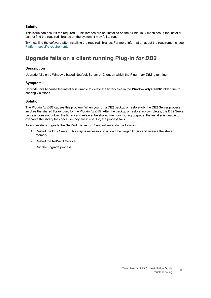#### **Solution**

This issue can occur if the required 32-bit libraries are not installed on the 64-bit Linux machines. If the installer cannot find the required libraries on the system, it may fail to run.

Try installing the software after installing the required libraries. For more information about the requirements, see [Platform-specific requirements](#page-17-1).

### <span id="page-67-0"></span>**Upgrade fails on a client running Plug-in** *for DB2*

#### **Description**

Upgrade fails on a Windows-based NetVault Server or Client on which the Plug-in *for DB2* is running.

#### **Symptom**

Upgrade fails because the installer is unable to delete the library files in the **Windows\System32** folder due to sharing violations.

#### **Solution**

The Plug-in *for DB2* causes this problem. When you run a DB2 backup or restore job, the DB2 Server process invokes the shared library used by the Plug-in *for DB2*. After the backup or restore job completes, the DB2 Server process does not unload the library and release the shared memory. During upgrade, the installer is unable to overwrite the library files because they are in use. So, the process fails.

To successfully upgrade the NetVault Server or Client software, do the following:

- 1 Restart the DB2 Server. This step is necessary to unload the plug-in library and release the shared memory.
- 2 Restart the NetVault Service.
- 3 Run the upgrade process.